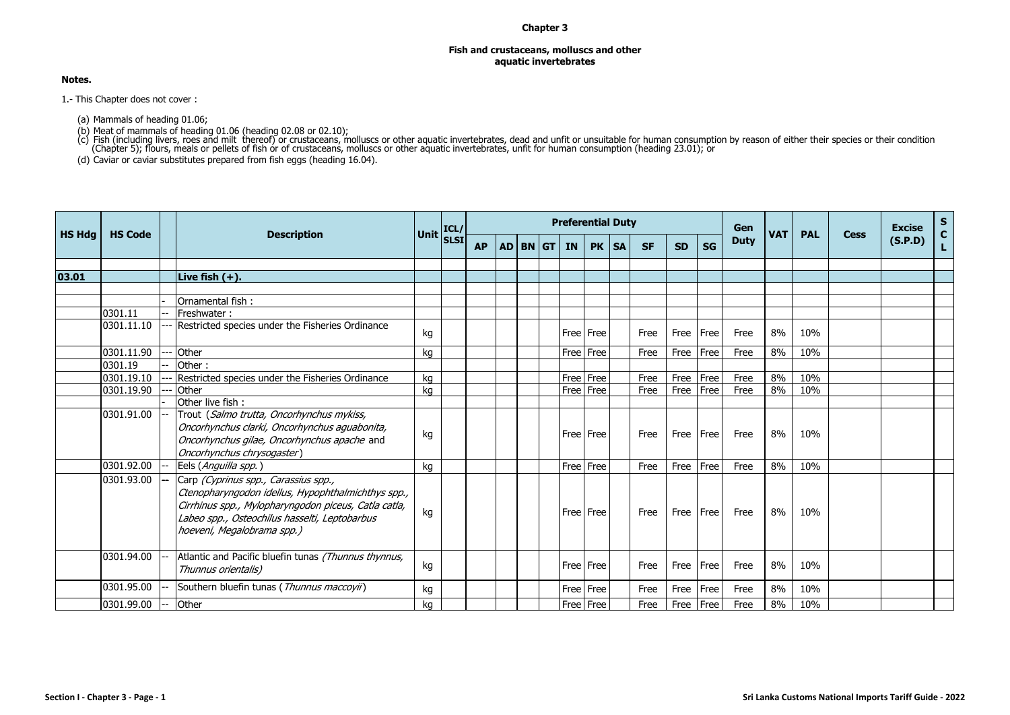## **Chapter 3**

## **Fish and crustaceans, molluscs and other aquatic invertebrates**

## **Notes.**

1.- This Chapter does not cover :

(a) Mammals of heading 01.06;

(b) Meat of mammals of heading 01.06 (heading 02.08 or 02.10);<br>(c) Fish (including livers, roes and milt thereof) or crustaceans, molluscs or other aquatic invertebrates, dead and unfit or unsuitable for human consumption

(d) Caviar or caviar substitutes prepared from fish eggs (heading 16.04).

|               |                |                          |                                                                                                                                                                                                                                   |           | ICL/ |           |  | <b>Preferential Duty</b> |           |         |           |             |           | Gen         |            |            |             | <b>Excise</b> | $S_{C}$ |
|---------------|----------------|--------------------------|-----------------------------------------------------------------------------------------------------------------------------------------------------------------------------------------------------------------------------------|-----------|------|-----------|--|--------------------------|-----------|---------|-----------|-------------|-----------|-------------|------------|------------|-------------|---------------|---------|
| <b>HS Hdg</b> | <b>HS Code</b> |                          | <b>Description</b>                                                                                                                                                                                                                | Unit SLSI |      | <b>AP</b> |  | AD BN GT IN              |           | PK   SA | <b>SF</b> | <b>SD</b>   | <b>SG</b> | <b>Duty</b> | <b>VAT</b> | <b>PAL</b> | <b>Cess</b> | (S.P.D)       | L.      |
|               |                |                          |                                                                                                                                                                                                                                   |           |      |           |  |                          |           |         |           |             |           |             |            |            |             |               |         |
| 03.01         |                |                          | Live fish $(+)$ .                                                                                                                                                                                                                 |           |      |           |  |                          |           |         |           |             |           |             |            |            |             |               |         |
|               |                |                          |                                                                                                                                                                                                                                   |           |      |           |  |                          |           |         |           |             |           |             |            |            |             |               |         |
|               |                |                          | Ornamental fish:                                                                                                                                                                                                                  |           |      |           |  |                          |           |         |           |             |           |             |            |            |             |               |         |
|               | 0301.11        |                          | Freshwater:                                                                                                                                                                                                                       |           |      |           |  |                          |           |         |           |             |           |             |            |            |             |               |         |
|               | 0301.11.10     |                          | Restricted species under the Fisheries Ordinance                                                                                                                                                                                  | kg        |      |           |  |                          | Free Free |         | Free      | Free   Free |           | Free        | 8%         | 10%        |             |               |         |
|               | 0301.11.90     |                          | Other                                                                                                                                                                                                                             | kg        |      |           |  |                          | Free Free |         | Free      | Free        | Free      | Free        | 8%         | 10%        |             |               |         |
|               | 0301.19        |                          | Other:                                                                                                                                                                                                                            |           |      |           |  |                          |           |         |           |             |           |             |            |            |             |               |         |
|               | 0301.19.10     |                          | Restricted species under the Fisheries Ordinance                                                                                                                                                                                  | kg        |      |           |  |                          | Free Free |         | Free      | Free        | Free      | Free        | 8%         | 10%        |             |               |         |
|               | 0301.19.90     |                          | Other                                                                                                                                                                                                                             | kg        |      |           |  |                          | Free Free |         | Free      | Free        | Free      | Free        | 8%         | 10%        |             |               |         |
|               |                |                          | Other live fish:                                                                                                                                                                                                                  |           |      |           |  |                          |           |         |           |             |           |             |            |            |             |               |         |
|               | 0301.91.00     |                          | Trout (Salmo trutta, Oncorhynchus mykiss,<br>Oncorhynchus clarki, Oncorhynchus aguabonita,<br>Oncorhynchus gilae, Oncorhynchus apache and<br>Oncorhynchus chrysogaster)                                                           | kg        |      |           |  | Free Free                |           |         | Free      | Free   Free |           | Free        | 8%         | 10%        |             |               |         |
|               | 0301.92.00     | $--$                     | Eels (Anguilla spp.)                                                                                                                                                                                                              | kg        |      |           |  | Free Free                |           |         | Free      | Free        | Free      | Free        | 8%         | 10%        |             |               |         |
|               | 0301.93.00     |                          | Carp (Cyprinus spp., Carassius spp.,<br>Ctenopharyngodon idellus, Hypophthalmichthys spp.,<br>Cirrhinus spp., Mylopharyngodon piceus, Catla catla,<br>Labeo spp., Osteochilus hasselti, Leptobarbus<br>hoeveni, Megalobrama spp.) | kg        |      |           |  | Free Free                |           |         | Free      | Free Free   |           | Free        | 8%         | 10%        |             |               |         |
|               | 0301.94.00     |                          | Atlantic and Pacific bluefin tunas (Thunnus thynnus,<br>Thunnus orientalis)                                                                                                                                                       | kg        |      |           |  |                          | Free Free |         | Free      | Free        | Free      | Free        | 8%         | 10%        |             |               |         |
|               | 0301.95.00     |                          | Southern bluefin tunas (Thunnus maccovii)                                                                                                                                                                                         | kg        |      |           |  |                          | Free Free |         | Free      | Free        | Free      | Free        | 8%         | 10%        |             |               |         |
|               | 0301.99.00     | $\overline{\phantom{a}}$ | Other                                                                                                                                                                                                                             | ka        |      |           |  | Free Free                |           |         | Free      | Free        | Free      | Free        | 8%         | 10%        |             |               |         |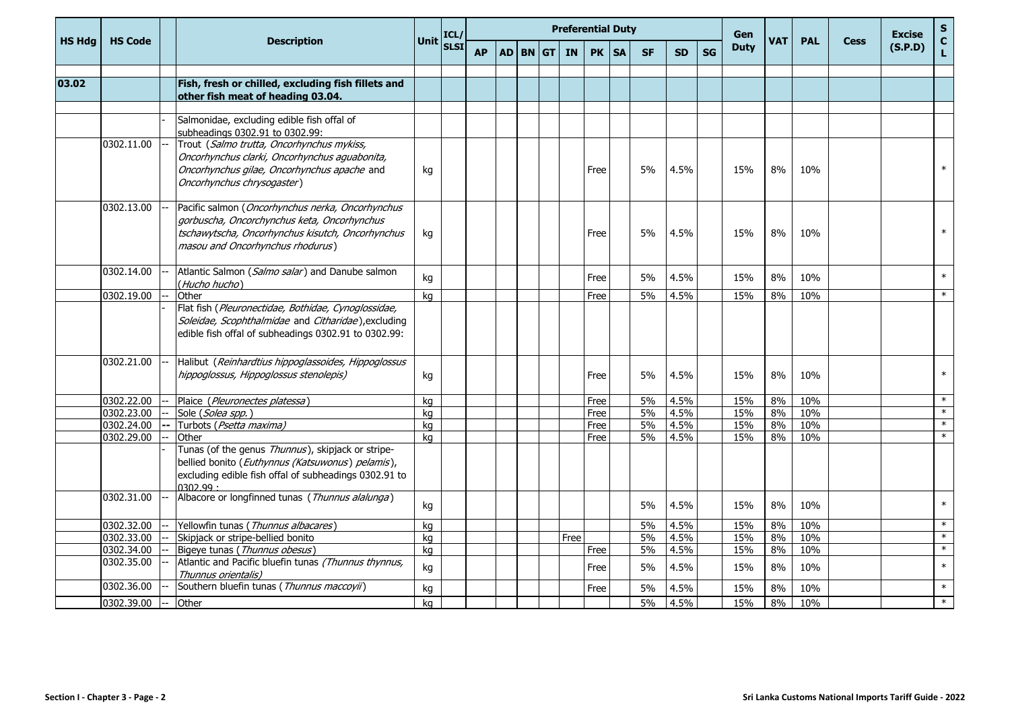|               |                |        |                                                                                                                                                                                         |             | ICL/        |           |          | <b>Preferential Duty</b> |       |           |           |    | Gen         |            |            |             | <b>Excise</b> | $\mathsf{s}$       |
|---------------|----------------|--------|-----------------------------------------------------------------------------------------------------------------------------------------------------------------------------------------|-------------|-------------|-----------|----------|--------------------------|-------|-----------|-----------|----|-------------|------------|------------|-------------|---------------|--------------------|
| <b>HS Hdg</b> | <b>HS Code</b> |        | <b>Description</b>                                                                                                                                                                      | <b>Unit</b> | <b>SLSI</b> | <b>AP</b> | AD BN GT | <b>IN</b>                | PK SA | <b>SF</b> | <b>SD</b> | SG | <b>Duty</b> | <b>VAT</b> | <b>PAL</b> | <b>Cess</b> | (S.P.D)       | $\mathbf{C}$<br>L. |
| 03.02         |                |        | Fish, fresh or chilled, excluding fish fillets and                                                                                                                                      |             |             |           |          |                          |       |           |           |    |             |            |            |             |               |                    |
|               |                |        | other fish meat of heading 03.04.                                                                                                                                                       |             |             |           |          |                          |       |           |           |    |             |            |            |             |               |                    |
|               |                |        | Salmonidae, excluding edible fish offal of<br>subheadings 0302.91 to 0302.99:                                                                                                           |             |             |           |          |                          |       |           |           |    |             |            |            |             |               |                    |
|               | 0302.11.00     |        | Trout (Salmo trutta, Oncorhynchus mykiss,<br>Oncorhynchus clarki, Oncorhynchus aguabonita,<br>Oncorhynchus gilae, Oncorhynchus apache and<br>Oncorhynchus chrysogaster)                 | kg          |             |           |          |                          | Free  | 5%        | 4.5%      |    | 15%         | 8%         | 10%        |             |               | $\ast$             |
|               | 0302.13.00     |        | Pacific salmon (Oncorhynchus nerka, Oncorhynchus<br>gorbuscha, Oncorchynchus keta, Oncorhynchus<br>tschawytscha, Oncorhynchus kisutch, Oncorhynchus<br>masou and Oncorhynchus rhodurus) | kg          |             |           |          |                          | Free  | 5%        | 4.5%      |    | 15%         | 8%         | 10%        |             |               | $\ast$             |
|               | 0302.14.00     |        | Atlantic Salmon (Salmo salar) and Danube salmon<br>(Hucho hucho)                                                                                                                        | kg          |             |           |          |                          | Free  | 5%        | 4.5%      |    | 15%         | 8%         | 10%        |             |               | $\ast$             |
|               | 0302.19.00     |        | Other                                                                                                                                                                                   | kg          |             |           |          |                          | Free  | 5%        | 4.5%      |    | 15%         | 8%         | 10%        |             |               | $\ast$             |
|               |                |        | Flat fish (Pleuronectidae, Bothidae, Cynoglossidae,<br>Soleidae, Scophthalmidae and Citharidae), excluding<br>edible fish offal of subheadings 0302.91 to 0302.99:                      |             |             |           |          |                          |       |           |           |    |             |            |            |             |               |                    |
|               | 0302.21.00     |        | Halibut (Reinhardtius hippoglassoides, Hippoglossus<br>hippoglossus, Hippoglossus stenolepis)                                                                                           | kg          |             |           |          |                          | Free  | 5%        | 4.5%      |    | 15%         | 8%         | 10%        |             |               | $\ast$             |
|               | 0302.22.00     |        | Plaice (Pleuronectes platessa)                                                                                                                                                          | kg          |             |           |          |                          | Free  | 5%        | 4.5%      |    | 15%         | 8%         | 10%        |             |               | $\ast$             |
|               | 0302.23.00     |        | Sole (Solea spp.)                                                                                                                                                                       | kq          |             |           |          |                          | Free  | 5%        | 4.5%      |    | 15%         | 8%         | 10%        |             |               | $\ast$             |
|               | 0302.24.00     | $--$   | Turbots (Psetta maxima)                                                                                                                                                                 | ka          |             |           |          |                          | Free  | 5%        | 4.5%      |    | 15%         | 8%         | 10%        |             |               | $\ast$             |
|               | 0302.29.00     |        | Other<br>Tunas (of the genus Thunnus), skipjack or stripe-<br>bellied bonito (Euthynnus (Katsuwonus) pelamis),<br>excluding edible fish offal of subheadings 0302.91 to<br>0302.99:     | ka          |             |           |          |                          | Free  | 5%        | 4.5%      |    | 15%         | 8%         | 10%        |             |               | $\ast$             |
|               | 0302.31.00     |        | Albacore or longfinned tunas (Thunnus alalunga)                                                                                                                                         | kg          |             |           |          |                          |       | 5%        | 4.5%      |    | 15%         | 8%         | 10%        |             |               | $\ast$             |
|               | 0302.32.00     |        | Yellowfin tunas (Thunnus albacares)                                                                                                                                                     | kg          |             |           |          |                          |       | 5%        | 4.5%      |    | 15%         | 8%         | 10%        |             |               | $\ast$             |
|               | 0302.33.00     |        | Skipjack or stripe-bellied bonito                                                                                                                                                       | kg          |             |           |          | Free                     |       | 5%        | 4.5%      |    | 15%         | 8%         | 10%        |             |               | $\ast$             |
|               | 0302.34.00     |        | Bigeye tunas (Thunnus obesus)                                                                                                                                                           | kg          |             |           |          |                          | Free  | 5%        | 4.5%      |    | 15%         | 8%         | 10%        |             |               | $\ast$             |
|               | 0302.35.00     |        | Atlantic and Pacific bluefin tunas (Thunnus thynnus,<br>Thunnus orientalis)                                                                                                             | kg          |             |           |          |                          | Free  | 5%        | 4.5%      |    | 15%         | 8%         | 10%        |             |               | $\ast$             |
|               | 0302.36.00     |        | Southern bluefin tunas (Thunnus maccoyii)                                                                                                                                               | kg          |             |           |          |                          | Free  | 5%        | 4.5%      |    | 15%         | 8%         | 10%        |             |               | $\ast$             |
|               | 0302.39.00     | $\sim$ | Other                                                                                                                                                                                   | kg          |             |           |          |                          |       | 5%        | 4.5%      |    | 15%         | 8%         | 10%        |             |               | $\ast$             |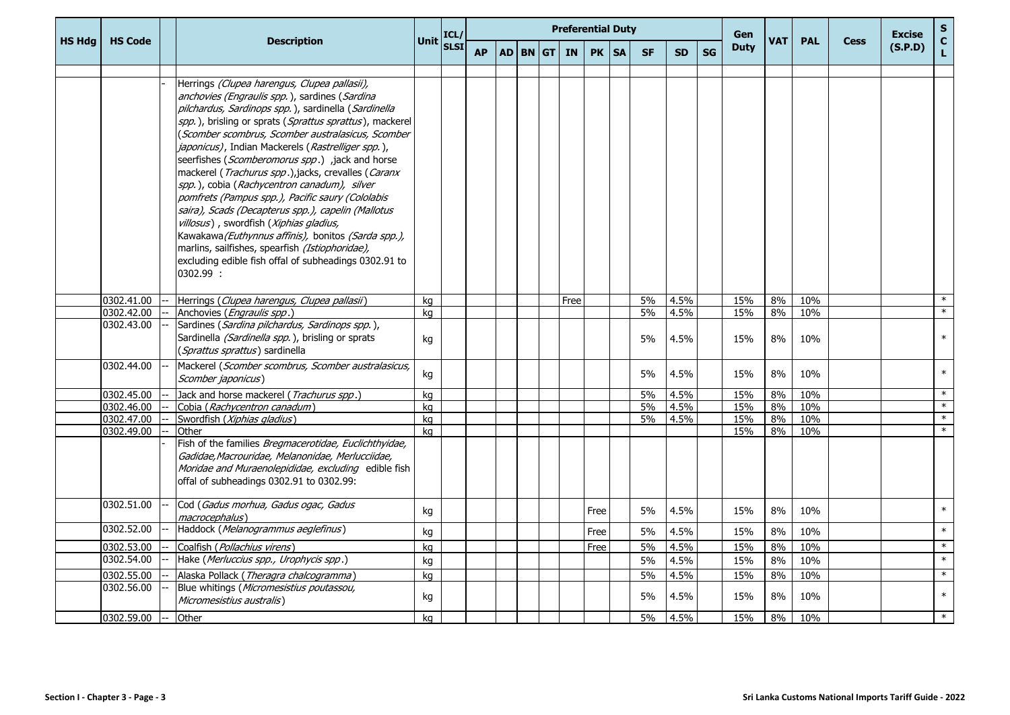|               |                |      |                                                                                                                                                                                                                                                                                                                                                                                                                                                                                                                                                                                                                                                                                                                                                                                                                       | Unit ICL/ |             |           |  |          | <b>Preferential Duty</b> |      |           |           |           |           | Gen         |            |            |             | <b>Excise</b> | S                  |
|---------------|----------------|------|-----------------------------------------------------------------------------------------------------------------------------------------------------------------------------------------------------------------------------------------------------------------------------------------------------------------------------------------------------------------------------------------------------------------------------------------------------------------------------------------------------------------------------------------------------------------------------------------------------------------------------------------------------------------------------------------------------------------------------------------------------------------------------------------------------------------------|-----------|-------------|-----------|--|----------|--------------------------|------|-----------|-----------|-----------|-----------|-------------|------------|------------|-------------|---------------|--------------------|
| <b>HS Hdg</b> | <b>HS Code</b> |      | <b>Description</b>                                                                                                                                                                                                                                                                                                                                                                                                                                                                                                                                                                                                                                                                                                                                                                                                    |           | <b>SLSI</b> | <b>AP</b> |  | AD BN GT | <b>IN</b>                | PK   | <b>SA</b> | <b>SF</b> | <b>SD</b> | <b>SG</b> | <b>Duty</b> | <b>VAT</b> | <b>PAL</b> | <b>Cess</b> | (S.P.D)       | $\mathbf{C}$<br>L. |
|               |                |      | Herrings (Clupea harengus, Clupea pallasii),<br>anchovies (Engraulis spp.), sardines (Sardina<br>pilchardus, Sardinops spp.), sardinella (Sardinella<br>spp.), brisling or sprats (Sprattus sprattus), mackerel<br>(Scomber scombrus, Scomber australasicus, Scomber<br>japonicus), Indian Mackerels (Rastrelliger spp.),<br>seerfishes (Scomberomorus spp.) ,jack and horse<br>mackerel (Trachurus spp.),jacks, crevalles (Caranx<br>spp.), cobia (Rachycentron canadum), silver<br>pomfrets (Pampus spp.), Pacific saury (Cololabis<br>saira), Scads (Decapterus spp.), capelin (Mallotus<br>villosus), swordfish (Xiphias gladius,<br>Kawakawa (Euthynnus affinis), bonitos (Sarda spp.),<br>marlins, sailfishes, spearfish (Istiophoridae),<br>excluding edible fish offal of subheadings 0302.91 to<br>0302.99 : |           |             |           |  |          |                          |      |           |           |           |           |             |            |            |             |               |                    |
|               | 0302.41.00     |      | Herrings (Clupea harengus, Clupea pallasii)                                                                                                                                                                                                                                                                                                                                                                                                                                                                                                                                                                                                                                                                                                                                                                           | kg        |             |           |  |          | Free                     |      |           | 5%        | 4.5%      |           | 15%         | 8%         | 10%        |             |               | $\ast$             |
|               | 0302.42.00     |      | Anchovies (Engraulis spp.)                                                                                                                                                                                                                                                                                                                                                                                                                                                                                                                                                                                                                                                                                                                                                                                            | kg        |             |           |  |          |                          |      |           | 5%        | 4.5%      |           | 15%         | 8%         | 10%        |             |               | $\ast$             |
|               | 0302.43.00     |      | Sardines (Sardina pilchardus, Sardinops spp.),<br>Sardinella (Sardinella spp.), brisling or sprats<br>(Sprattus sprattus) sardinella                                                                                                                                                                                                                                                                                                                                                                                                                                                                                                                                                                                                                                                                                  | kg        |             |           |  |          |                          |      |           | 5%        | 4.5%      |           | 15%         | 8%         | 10%        |             |               | $\ast$             |
|               | 0302.44.00     |      | Mackerel (Scomber scombrus, Scomber australasicus,<br>Scomber japonicus)                                                                                                                                                                                                                                                                                                                                                                                                                                                                                                                                                                                                                                                                                                                                              | kg        |             |           |  |          |                          |      |           | 5%        | 4.5%      |           | 15%         | 8%         | 10%        |             |               | $\ast$             |
|               | 0302.45.00     |      | Jack and horse mackerel (Trachurus spp.)                                                                                                                                                                                                                                                                                                                                                                                                                                                                                                                                                                                                                                                                                                                                                                              | kg        |             |           |  |          |                          |      |           | 5%        | 4.5%      |           | 15%         | 8%         | 10%        |             |               | $\ast$             |
|               | 0302.46.00     |      | Cobia (Rachycentron canadum)                                                                                                                                                                                                                                                                                                                                                                                                                                                                                                                                                                                                                                                                                                                                                                                          | kg        |             |           |  |          |                          |      |           | 5%        | 4.5%      |           | 15%         | 8%         | 10%        |             |               | $\ast$             |
|               | 0302.47.00     |      | Swordfish (Xiphias gladius)                                                                                                                                                                                                                                                                                                                                                                                                                                                                                                                                                                                                                                                                                                                                                                                           | kg        |             |           |  |          |                          |      |           | 5%        | 4.5%      |           | 15%         | 8%         | 10%        |             |               | $\ast$             |
|               | 0302.49.00     |      | Other<br>Fish of the families Bregmacerotidae, Euclichthyidae,<br>Gadidae, Macrouridae, Melanonidae, Merlucciidae,<br>Moridae and Muraenolepididae, excluding edible fish<br>offal of subheadings 0302.91 to 0302.99:                                                                                                                                                                                                                                                                                                                                                                                                                                                                                                                                                                                                 | ka        |             |           |  |          |                          |      |           |           |           |           | 15%         | 8%         | 10%        |             |               | $\ast$             |
|               | 0302.51.00     |      | Cod (Gadus morhua, Gadus ogac, Gadus<br>macrocephalus)                                                                                                                                                                                                                                                                                                                                                                                                                                                                                                                                                                                                                                                                                                                                                                | kg        |             |           |  |          |                          | Free |           | 5%        | 4.5%      |           | 15%         | 8%         | 10%        |             |               | $\ast$             |
|               | 0302.52.00     |      | Haddock (Melanogrammus aeglefinus)                                                                                                                                                                                                                                                                                                                                                                                                                                                                                                                                                                                                                                                                                                                                                                                    | kg        |             |           |  |          |                          | Free |           | 5%        | 4.5%      |           | 15%         | 8%         | 10%        |             |               | $\ast$             |
|               | 0302.53.00     |      | Coalfish (Pollachius virens)                                                                                                                                                                                                                                                                                                                                                                                                                                                                                                                                                                                                                                                                                                                                                                                          | kg        |             |           |  |          |                          | Free |           | 5%        | 4.5%      |           | 15%         | 8%         | 10%        |             |               | $\ast$             |
|               | 0302.54.00     |      | Hake (Merluccius spp., Urophycis spp.)                                                                                                                                                                                                                                                                                                                                                                                                                                                                                                                                                                                                                                                                                                                                                                                | kg        |             |           |  |          |                          |      |           | 5%        | 4.5%      |           | 15%         | 8%         | 10%        |             |               | $\ast$             |
|               | 0302.55.00     |      | Alaska Pollack (Theragra chalcogramma)                                                                                                                                                                                                                                                                                                                                                                                                                                                                                                                                                                                                                                                                                                                                                                                | kg        |             |           |  |          |                          |      |           | 5%        | 4.5%      |           | 15%         | 8%         | 10%        |             |               | $\ast$             |
|               | 0302.56.00     |      | Blue whitings (Micromesistius poutassou,<br>Micromesistius australis)                                                                                                                                                                                                                                                                                                                                                                                                                                                                                                                                                                                                                                                                                                                                                 | kg        |             |           |  |          |                          |      |           | 5%        | 4.5%      |           | 15%         | 8%         | 10%        |             |               | $\ast$             |
|               | 0302.59.00     | $-1$ | Other                                                                                                                                                                                                                                                                                                                                                                                                                                                                                                                                                                                                                                                                                                                                                                                                                 | kg        |             |           |  |          |                          |      |           | 5%        | 4.5%      |           | 15%         | 8%         | 10%        |             |               | $\ast$             |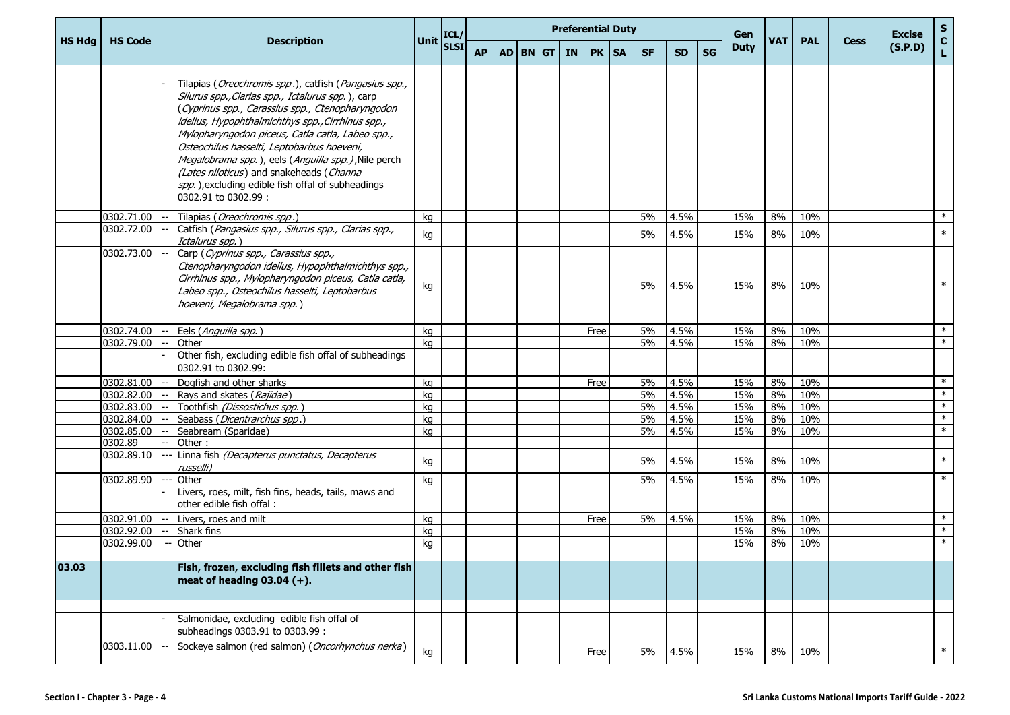|               |                |                                                                                                                                                                                                                                                                                                                                                                                                                                                                                                                       |             | ICL/        |           |  |              |      | <b>Preferential Duty</b> |           |           |           | Gen         |            |            |             | <b>Excise</b> | ${\sf s}$                    |
|---------------|----------------|-----------------------------------------------------------------------------------------------------------------------------------------------------------------------------------------------------------------------------------------------------------------------------------------------------------------------------------------------------------------------------------------------------------------------------------------------------------------------------------------------------------------------|-------------|-------------|-----------|--|--------------|------|--------------------------|-----------|-----------|-----------|-------------|------------|------------|-------------|---------------|------------------------------|
| <b>HS Hdg</b> | <b>HS Code</b> | <b>Description</b>                                                                                                                                                                                                                                                                                                                                                                                                                                                                                                    | <b>Unit</b> | <b>SLSI</b> | <b>AP</b> |  | $AD$ BN $GT$ | IN 1 | PK   SA                  | <b>SF</b> | <b>SD</b> | <b>SG</b> | <b>Duty</b> | <b>VAT</b> | <b>PAL</b> | <b>Cess</b> | (S.P.D)       | $\mathbf{C}$<br>$\mathbf{L}$ |
|               |                | Tilapias ( <i>Oreochromis spp.</i> ), catfish ( <i>Pangasius spp.,</i><br>Silurus spp., Clarias spp., Ictalurus spp.), carp<br>(Cyprinus spp., Carassius spp., Ctenopharyngodon<br>idellus, Hypophthalmichthys spp., Cirrhinus spp.,<br>Mylopharyngodon piceus, Catla catla, Labeo spp.,<br>Osteochilus hasselti, Leptobarbus hoeveni,<br>Megalobrama spp.), eels (Anguilla spp.), Nile perch<br>(Lates niloticus) and snakeheads (Channa<br>spp.), excluding edible fish offal of subheadings<br>0302.91 to 0302.99: |             |             |           |  |              |      |                          |           |           |           |             |            |            |             |               |                              |
|               | 0302.71.00     | Tilapias ( <i>Oreochromis spp</i> .)                                                                                                                                                                                                                                                                                                                                                                                                                                                                                  | kg          |             |           |  |              |      |                          | 5%        | 4.5%      |           | 15%         | 8%         | 10%        |             |               | $\ast$                       |
|               | 0302.72.00     | Catfish (Pangasius spp., Silurus spp., Clarias spp.,<br>Ictalurus spp.)                                                                                                                                                                                                                                                                                                                                                                                                                                               | kg          |             |           |  |              |      |                          | 5%        | 4.5%      |           | 15%         | 8%         | 10%        |             |               | $\ast$                       |
|               | 0302.73.00     | Carp (Cyprinus spp., Carassius spp.,<br>Ctenopharyngodon idellus, Hypophthalmichthys spp.,<br>Cirrhinus spp., Mylopharyngodon piceus, Catla catla,<br>Labeo spp., Osteochilus hasselti, Leptobarbus<br>hoeveni, Megalobrama spp.)                                                                                                                                                                                                                                                                                     | kg          |             |           |  |              |      |                          | 5%        | 4.5%      |           | 15%         | 8%         | 10%        |             |               | $\ast$                       |
|               | 0302.74.00     | Eels (Anguilla spp.)                                                                                                                                                                                                                                                                                                                                                                                                                                                                                                  | kg          |             |           |  |              |      | Free                     | 5%        | 4.5%      |           | 15%         | 8%         | 10%        |             |               | $\ast$                       |
|               | 0302.79.00     | Other                                                                                                                                                                                                                                                                                                                                                                                                                                                                                                                 | ka          |             |           |  |              |      |                          | 5%        | 4.5%      |           | 15%         | 8%         | 10%        |             |               | $\ast$                       |
|               |                | Other fish, excluding edible fish offal of subheadings<br>0302.91 to 0302.99:                                                                                                                                                                                                                                                                                                                                                                                                                                         |             |             |           |  |              |      |                          |           |           |           |             |            |            |             |               |                              |
|               | 0302.81.00     | Dogfish and other sharks                                                                                                                                                                                                                                                                                                                                                                                                                                                                                              | kg          |             |           |  |              |      | Free                     | 5%        | 4.5%      |           | 15%         | 8%         | 10%        |             |               | $\ast$                       |
|               | 0302.82.00     | Rays and skates (Rajidae)                                                                                                                                                                                                                                                                                                                                                                                                                                                                                             | kg          |             |           |  |              |      |                          | 5%        | 4.5%      |           | 15%         | 8%         | 10%        |             |               | $\ast$                       |
|               | 0302.83.00     | Toothfish (Dissostichus spp.)                                                                                                                                                                                                                                                                                                                                                                                                                                                                                         | kg          |             |           |  |              |      |                          | 5%        | 4.5%      |           | 15%         | 8%         | 10%        |             |               | $\ast$                       |
|               | 0302.84.00     | Seabass (Dicentrarchus spp.)                                                                                                                                                                                                                                                                                                                                                                                                                                                                                          | kg          |             |           |  |              |      |                          | 5%        | 4.5%      |           | 15%         | 8%         | 10%        |             |               | $\ast$                       |
|               | 0302.85.00     | Seabream (Sparidae)                                                                                                                                                                                                                                                                                                                                                                                                                                                                                                   | kg          |             |           |  |              |      |                          | 5%        | 4.5%      |           | 15%         | 8%         | 10%        |             |               | $\ast$                       |
|               | 0302.89        | Other:                                                                                                                                                                                                                                                                                                                                                                                                                                                                                                                |             |             |           |  |              |      |                          |           |           |           |             |            |            |             |               |                              |
|               | 0302.89.10     | Linna fish (Decapterus punctatus, Decapterus<br>russelli)                                                                                                                                                                                                                                                                                                                                                                                                                                                             | kg          |             |           |  |              |      |                          | 5%        | 4.5%      |           | 15%         | 8%         | 10%        |             |               | $\ast$                       |
|               | 0302.89.90     | Other                                                                                                                                                                                                                                                                                                                                                                                                                                                                                                                 | kg          |             |           |  |              |      |                          | 5%        | 4.5%      |           | 15%         | 8%         | 10%        |             |               | $\ast$                       |
|               |                | Livers, roes, milt, fish fins, heads, tails, maws and<br>other edible fish offal:                                                                                                                                                                                                                                                                                                                                                                                                                                     |             |             |           |  |              |      |                          |           |           |           |             |            |            |             |               |                              |
|               | 0302.91.00     | Livers, roes and milt                                                                                                                                                                                                                                                                                                                                                                                                                                                                                                 | kg          |             |           |  |              |      | Free                     | 5%        | 4.5%      |           | 15%         | 8%         | 10%        |             |               | $\ast$                       |
|               | 0302.92.00     | Shark fins                                                                                                                                                                                                                                                                                                                                                                                                                                                                                                            | kg          |             |           |  |              |      |                          |           |           |           | 15%         | 8%         | 10%        |             |               | $\ast$                       |
|               | 0302.99.00     | Other                                                                                                                                                                                                                                                                                                                                                                                                                                                                                                                 | kg          |             |           |  |              |      |                          |           |           |           | 15%         | 8%         | 10%        |             |               | $\ast$                       |
| 03.03         |                | Fish, frozen, excluding fish fillets and other fish<br>meat of heading $03.04 (+)$ .                                                                                                                                                                                                                                                                                                                                                                                                                                  |             |             |           |  |              |      |                          |           |           |           |             |            |            |             |               |                              |
|               |                |                                                                                                                                                                                                                                                                                                                                                                                                                                                                                                                       |             |             |           |  |              |      |                          |           |           |           |             |            |            |             |               |                              |
|               |                | Salmonidae, excluding edible fish offal of<br>subheadings 0303.91 to 0303.99 :                                                                                                                                                                                                                                                                                                                                                                                                                                        |             |             |           |  |              |      |                          |           |           |           |             |            |            |             |               |                              |
|               | 0303.11.00     | Sockeye salmon (red salmon) (Oncorhynchus nerka)                                                                                                                                                                                                                                                                                                                                                                                                                                                                      | kg          |             |           |  |              |      | Free                     | 5%        | 4.5%      |           | 15%         | 8%         | 10%        |             |               | $\ast$                       |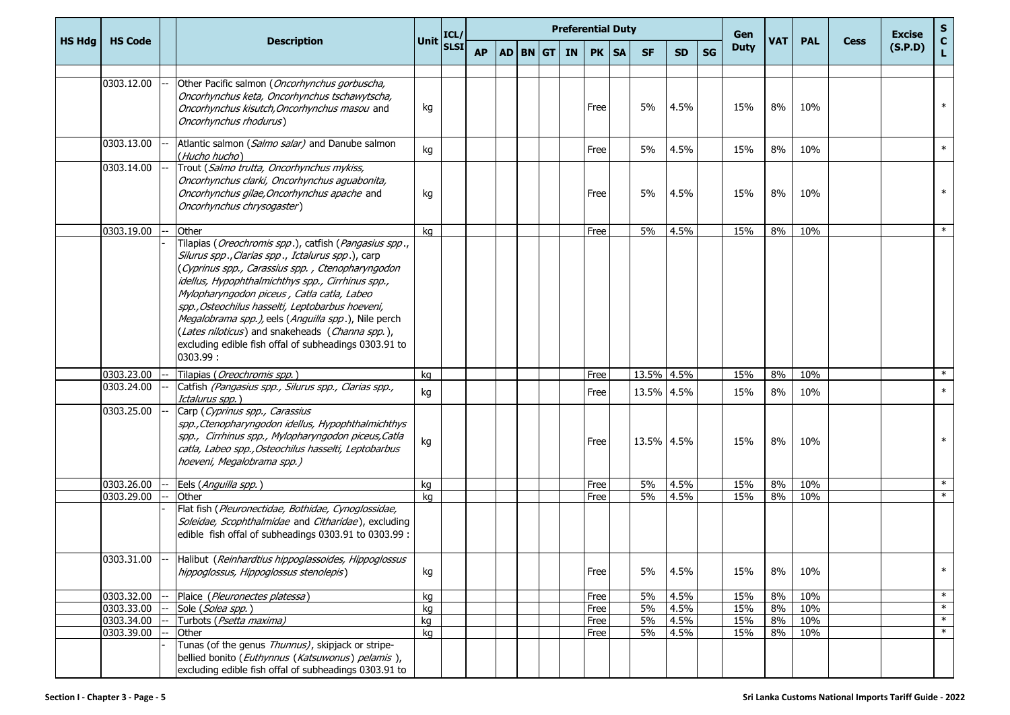| <b>HS Hdg</b> |                          |                                                                                                                                                                                                                                                                                                                                                                                                                                                                                                      | <b>Unit</b> | ICL/        |           |                 | <b>Preferential Duty</b> |              |           |            |              |           | Gen         | <b>VAT</b> | <b>PAL</b> | <b>Cess</b> | <b>Excise</b> | S<br>$\mathbf{C}$ |
|---------------|--------------------------|------------------------------------------------------------------------------------------------------------------------------------------------------------------------------------------------------------------------------------------------------------------------------------------------------------------------------------------------------------------------------------------------------------------------------------------------------------------------------------------------------|-------------|-------------|-----------|-----------------|--------------------------|--------------|-----------|------------|--------------|-----------|-------------|------------|------------|-------------|---------------|-------------------|
|               | <b>HS Code</b>           | <b>Description</b>                                                                                                                                                                                                                                                                                                                                                                                                                                                                                   |             | <b>SLSI</b> | <b>AP</b> | <b>AD BN GT</b> | <b>IN</b>                | <b>PK</b>    | <b>SA</b> | <b>SF</b>  | SD.          | <b>SG</b> | <b>Duty</b> |            |            |             | (S.P.D)       | Ĺ.                |
|               | 0303.12.00               | Other Pacific salmon (Oncorhynchus gorbuscha,<br>Oncorhynchus keta, Oncorhynchus tschawytscha,<br>Oncorhynchus kisutch, Oncorhynchus masou and<br>Oncorhynchus rhodurus)                                                                                                                                                                                                                                                                                                                             | kg          |             |           |                 |                          | Free         |           | 5%         | 4.5%         |           | 15%         | 8%         | 10%        |             |               | $\ast$            |
|               | 0303.13.00               | Atlantic salmon (Salmo salar) and Danube salmon<br>(Hucho hucho)                                                                                                                                                                                                                                                                                                                                                                                                                                     | kg          |             |           |                 |                          | Free         |           | 5%         | 4.5%         |           | 15%         | 8%         | 10%        |             |               | $\ast$            |
|               | 0303.14.00               | Trout (Salmo trutta, Oncorhynchus mykiss,<br>Oncorhynchus clarki, Oncorhynchus aguabonita,<br>Oncorhynchus gilae, Oncorhynchus apache and<br>Oncorhynchus chrysogaster)                                                                                                                                                                                                                                                                                                                              | kg          |             |           |                 |                          | Free         |           | 5%         | 4.5%         |           | 15%         | 8%         | 10%        |             |               | $\ast$            |
|               | 0303.19.00               | Other                                                                                                                                                                                                                                                                                                                                                                                                                                                                                                | kq          |             |           |                 |                          | Free         |           | 5%         | 4.5%         |           | 15%         | 8%         | 10%        |             |               | $\ast$            |
|               |                          | Tilapias (Oreochromis spp.), catfish (Pangasius spp.,<br>Silurus spp., Clarias spp., Ictalurus spp.), carp<br>(Cyprinus spp., Carassius spp., Ctenopharyngodon<br>idellus, Hypophthalmichthys spp., Cirrhinus spp.,<br>Mylopharyngodon piceus, Catla catla, Labeo<br>spp., Osteochilus hasselti, Leptobarbus hoeveni,<br>Megalobrama spp.), eels (Anguilla spp.), Nile perch<br>(Lates niloticus) and snakeheads (Channa spp.),<br>excluding edible fish offal of subheadings 0303.91 to<br>0303.99: |             |             |           |                 |                          |              |           |            |              |           |             |            |            |             |               |                   |
|               | 0303.23.00               | Tilapias (Oreochromis spp.)                                                                                                                                                                                                                                                                                                                                                                                                                                                                          | kg          |             |           |                 |                          | Free         |           | 13.5% 4.5% |              |           | 15%         | 8%         | 10%        |             |               | $\ast$            |
|               | 0303.24.00               | Catfish (Pangasius spp., Silurus spp., Clarias spp.,<br>Ictalurus spp.)                                                                                                                                                                                                                                                                                                                                                                                                                              | kg          |             |           |                 |                          | Free         |           | 13.5% 4.5% |              |           | 15%         | 8%         | 10%        |             |               | $\ast$            |
|               | 0303.25.00               | Carp (Cyprinus spp., Carassius<br>spp., Ctenopharyngodon idellus, Hypophthalmichthys<br>spp., Cirrhinus spp., Mylopharyngodon piceus, Catla<br>catla, Labeo spp., Osteochilus hasselti, Leptobarbus<br>hoeveni, Megalobrama spp.)                                                                                                                                                                                                                                                                    | kg          |             |           |                 |                          | Free         |           | 13.5% 4.5% |              |           | 15%         | 8%         | 10%        |             |               | $\ast$            |
|               | 0303.26.00               | Eels (Anguilla spp.)                                                                                                                                                                                                                                                                                                                                                                                                                                                                                 | kg          |             |           |                 |                          | Free         |           | 5%         | 4.5%         |           | 15%         | 8%         | 10%        |             |               | $\ast$            |
|               | 0303.29.00               | Other                                                                                                                                                                                                                                                                                                                                                                                                                                                                                                | ka          |             |           |                 |                          | Free         |           | 5%         | 4.5%         |           | 15%         | 8%         | 10%        |             |               | $\ast$            |
|               |                          | Flat fish (Pleuronectidae, Bothidae, Cynoglossidae,<br>Soleidae, Scophthalmidae and Citharidae), excluding<br>edible fish offal of subheadings 0303.91 to 0303.99 :                                                                                                                                                                                                                                                                                                                                  |             |             |           |                 |                          |              |           |            |              |           |             |            |            |             |               |                   |
|               | 0303.31.00               | Halibut (Reinhardtius hippoglassoides, Hippoglossus<br>hippoglossus, Hippoglossus stenolepis)                                                                                                                                                                                                                                                                                                                                                                                                        | kg          |             |           |                 |                          | Free         |           | 5%         | 4.5%         |           | 15%         | 8%         | 10%        |             |               | $\ast$            |
|               | 0303.32.00               | Plaice (Pleuronectes platessa)                                                                                                                                                                                                                                                                                                                                                                                                                                                                       | kg          |             |           |                 |                          | Free         |           | 5%         | 4.5%         |           | 15%         | 8%         | 10%        |             |               | $\ast$            |
|               | 0303.33.00               | Sole (Solea spp.)                                                                                                                                                                                                                                                                                                                                                                                                                                                                                    | kg          |             |           |                 |                          | Free         |           | 5%         | 4.5%         |           | 15%         | 8%         | 10%        |             |               | $\ast$<br>$\ast$  |
|               | 0303.34.00<br>0303.39.00 | Turbots (Psetta maxima)<br>Other                                                                                                                                                                                                                                                                                                                                                                                                                                                                     | kg<br>kg    |             |           |                 |                          | Free<br>Free |           | 5%<br>5%   | 4.5%<br>4.5% |           | 15%<br>15%  | 8%<br>8%   | 10%<br>10% |             |               | $\ast$            |
|               |                          | Tunas (of the genus Thunnus), skipjack or stripe-<br>bellied bonito (Euthynnus (Katsuwonus) pelamis),<br>excluding edible fish offal of subheadings 0303.91 to                                                                                                                                                                                                                                                                                                                                       |             |             |           |                 |                          |              |           |            |              |           |             |            |            |             |               |                   |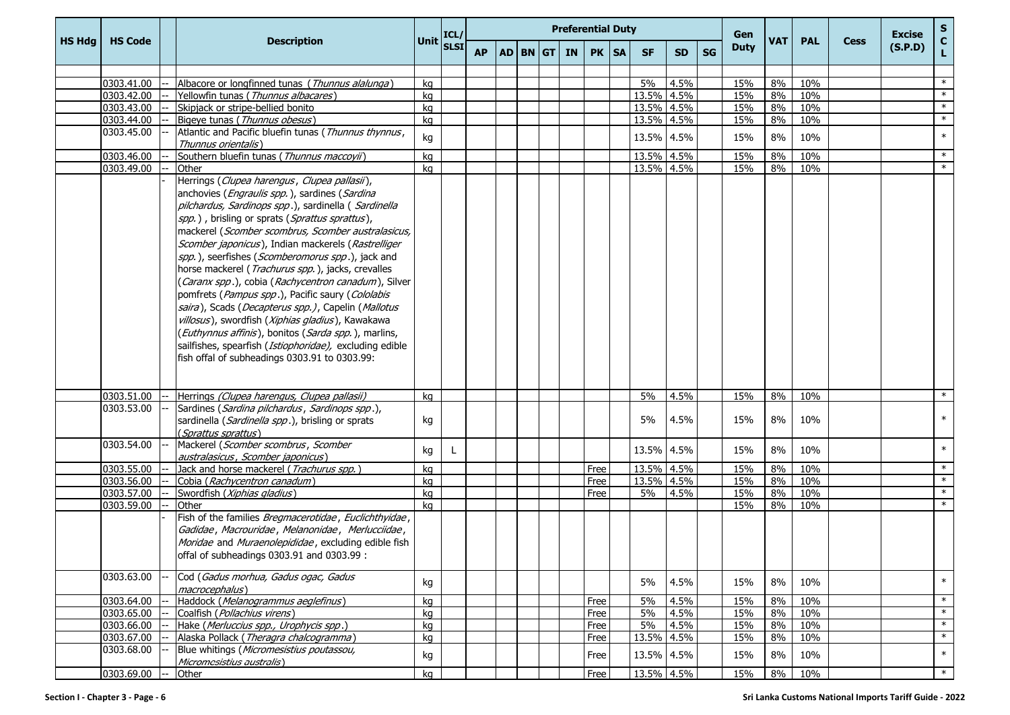|               |                |                                                                                                                                                                                                                                                                                                                                                                                                                                                                                                                                                                                                                                                                                                                                                                                                                     |                                                             |   |           |  |          | <b>Preferential Duty</b> |         |            |           |           | Gen         |     |            |             | <b>Excise</b> |                  |
|---------------|----------------|---------------------------------------------------------------------------------------------------------------------------------------------------------------------------------------------------------------------------------------------------------------------------------------------------------------------------------------------------------------------------------------------------------------------------------------------------------------------------------------------------------------------------------------------------------------------------------------------------------------------------------------------------------------------------------------------------------------------------------------------------------------------------------------------------------------------|-------------------------------------------------------------|---|-----------|--|----------|--------------------------|---------|------------|-----------|-----------|-------------|-----|------------|-------------|---------------|------------------|
| <b>HS Hdg</b> | <b>HS Code</b> | <b>Description</b>                                                                                                                                                                                                                                                                                                                                                                                                                                                                                                                                                                                                                                                                                                                                                                                                  | Unit $\begin{vmatrix} \text{ICL}/\text{SLSI} \end{vmatrix}$ |   | <b>AP</b> |  | AD BN GT | <b>IN</b>                | PK   SA | <b>SF</b>  | <b>SD</b> | <b>SG</b> | <b>Duty</b> | VAT | <b>PAL</b> | <b>Cess</b> | (S.P.D)       | S<br>C<br>L      |
|               |                |                                                                                                                                                                                                                                                                                                                                                                                                                                                                                                                                                                                                                                                                                                                                                                                                                     |                                                             |   |           |  |          |                          |         |            |           |           |             |     |            |             |               |                  |
|               | 0303.41.00     | Albacore or longfinned tunas (Thunnus alalunga)                                                                                                                                                                                                                                                                                                                                                                                                                                                                                                                                                                                                                                                                                                                                                                     | kg                                                          |   |           |  |          |                          |         | 5%         | 4.5%      |           | 15%         | 8%  | 10%        |             |               | $\ast$           |
|               | 0303.42.00     | Yellowfin tunas (Thunnus albacares)                                                                                                                                                                                                                                                                                                                                                                                                                                                                                                                                                                                                                                                                                                                                                                                 | kg                                                          |   |           |  |          |                          |         | 13.5% 4.5% |           |           | 15%         | 8%  | 10%        |             |               | $\ast$           |
|               | 0303.43.00     | Skipjack or stripe-bellied bonito                                                                                                                                                                                                                                                                                                                                                                                                                                                                                                                                                                                                                                                                                                                                                                                   | kg                                                          |   |           |  |          |                          |         | 13.5% 4.5% |           |           | 15%         | 8%  | 10%        |             |               | $\ast$<br>$\ast$ |
|               | 0303.44.00     | Bigeye tunas (Thunnus obesus)                                                                                                                                                                                                                                                                                                                                                                                                                                                                                                                                                                                                                                                                                                                                                                                       | kg                                                          |   |           |  |          |                          |         | 13.5% 4.5% |           |           | 15%         | 8%  | 10%        |             |               |                  |
|               | 0303.45.00     | Atlantic and Pacific bluefin tunas (Thunnus thynnus,<br>Thunnus orientalis)                                                                                                                                                                                                                                                                                                                                                                                                                                                                                                                                                                                                                                                                                                                                         | kg                                                          |   |           |  |          |                          |         | 13.5% 4.5% |           |           | 15%         | 8%  | 10%        |             |               | $\ast$           |
|               | 0303.46.00     | Southern bluefin tunas (Thunnus maccoyii)                                                                                                                                                                                                                                                                                                                                                                                                                                                                                                                                                                                                                                                                                                                                                                           | kg                                                          |   |           |  |          |                          |         | 13.5% 4.5% |           |           | 15%         | 8%  | 10%        |             |               | $\ast$           |
|               | 0303.49.00     | Other                                                                                                                                                                                                                                                                                                                                                                                                                                                                                                                                                                                                                                                                                                                                                                                                               | kg                                                          |   |           |  |          |                          |         | 13.5% 4.5% |           |           | 15%         | 8%  | 10%        |             |               | $\ast$           |
|               |                | Herrings (Clupea harengus, Clupea pallasii),<br>anchovies (Engraulis spp.), sardines (Sardina<br>pilchardus, Sardinops spp.), sardinella (Sardinella<br>spp.), brisling or sprats (Sprattus sprattus),<br>mackerel (Scomber scombrus, Scomber australasicus,<br>Scomber japonicus), Indian mackerels (Rastrelliger<br>spp.), seerfishes (Scomberomorus spp.), jack and<br>horse mackerel (Trachurus spp.), jacks, crevalles<br>(Caranx spp.), cobia (Rachycentron canadum), Silver<br>pomfrets (Pampus spp.), Pacific saury (Cololabis<br>saira), Scads (Decapterus spp.), Capelin (Mallotus<br>villosus), swordfish (Xiphias gladius), Kawakawa<br>(Euthynnus affinis), bonitos (Sarda spp.), marlins,<br>sailfishes, spearfish (Istiophoridae), excluding edible<br>fish offal of subheadings 0303.91 to 0303.99: |                                                             |   |           |  |          |                          |         |            |           |           |             |     |            |             |               |                  |
|               | 0303.51.00     | Herrings (Clupea harengus, Clupea pallasii)                                                                                                                                                                                                                                                                                                                                                                                                                                                                                                                                                                                                                                                                                                                                                                         | kg                                                          |   |           |  |          |                          |         | 5%         | 4.5%      |           | 15%         | 8%  | 10%        |             |               | $\ast$           |
|               | 0303.53.00     | Sardines (Sardina pilchardus, Sardinops spp.),<br>sardinella (Sardinella spp.), brisling or sprats<br>(Sprattus sprattus)                                                                                                                                                                                                                                                                                                                                                                                                                                                                                                                                                                                                                                                                                           | kg                                                          |   |           |  |          |                          |         | 5%         | 4.5%      |           | 15%         | 8%  | 10%        |             |               | $\ast$           |
|               | 0303.54.00     | Mackerel (Scomber scombrus, Scomber<br>australasicus, Scomber japonicus)                                                                                                                                                                                                                                                                                                                                                                                                                                                                                                                                                                                                                                                                                                                                            | kg                                                          | L |           |  |          |                          |         | 13.5% 4.5% |           |           | 15%         | 8%  | 10%        |             |               | $\ast$           |
|               | 0303.55.00     | Jack and horse mackerel (Trachurus spp.)                                                                                                                                                                                                                                                                                                                                                                                                                                                                                                                                                                                                                                                                                                                                                                            | kg                                                          |   |           |  |          |                          | Free    | 13.5% 4.5% |           |           | 15%         | 8%  | 10%        |             |               | $\ast$           |
|               | 0303.56.00     | Cobia (Rachycentron canadum)                                                                                                                                                                                                                                                                                                                                                                                                                                                                                                                                                                                                                                                                                                                                                                                        | kg                                                          |   |           |  |          |                          | Free    | 13.5% 4.5% |           |           | 15%         | 8%  | 10%        |             |               | $\ast$           |
|               | 0303.57.00     | Swordfish (Xiphias gladius)                                                                                                                                                                                                                                                                                                                                                                                                                                                                                                                                                                                                                                                                                                                                                                                         | kg                                                          |   |           |  |          |                          | Free    | 5%         | 4.5%      |           | 15%         | 8%  | 10%        |             |               | $\ast$           |
|               | 0303.59.00     | Other                                                                                                                                                                                                                                                                                                                                                                                                                                                                                                                                                                                                                                                                                                                                                                                                               | ka                                                          |   |           |  |          |                          |         |            |           |           | 15%         | 8%  | 10%        |             |               | $\ast$           |
|               |                | Fish of the families Bregmacerotidae, Euclichthyidae,<br>Gadidae, Macrouridae, Melanonidae, Merlucciidae,<br>Moridae and Muraenolepididae, excluding edible fish<br>offal of subheadings 0303.91 and 0303.99 :                                                                                                                                                                                                                                                                                                                                                                                                                                                                                                                                                                                                      |                                                             |   |           |  |          |                          |         |            |           |           |             |     |            |             |               |                  |
|               | 0303.63.00     | Cod (Gadus morhua, Gadus ogac, Gadus<br>macrocephalus)                                                                                                                                                                                                                                                                                                                                                                                                                                                                                                                                                                                                                                                                                                                                                              | kg                                                          |   |           |  |          |                          |         | 5%         | 4.5%      |           | 15%         | 8%  | 10%        |             |               | $\ast$           |
|               | 0303.64.00     | Haddock (Melanogrammus aeglefinus)                                                                                                                                                                                                                                                                                                                                                                                                                                                                                                                                                                                                                                                                                                                                                                                  | kg                                                          |   |           |  |          |                          | Free    | 5%         | 4.5%      |           | 15%         | 8%  | 10%        |             |               | $\ast$           |
|               | 0303.65.00     | Coalfish (Pollachius virens)                                                                                                                                                                                                                                                                                                                                                                                                                                                                                                                                                                                                                                                                                                                                                                                        | kg                                                          |   |           |  |          |                          | Free    | 5%         | 4.5%      |           | 15%         | 8%  | 10%        |             |               | $\ast$           |
|               | 0303.66.00     | Hake (Merluccius spp., Urophycis spp.)                                                                                                                                                                                                                                                                                                                                                                                                                                                                                                                                                                                                                                                                                                                                                                              | kg                                                          |   |           |  |          |                          | Free    | 5%         | 4.5%      |           | 15%         | 8%  | 10%        |             |               | $\ast$           |
|               | 0303.67.00     | Alaska Pollack (Theragra chalcogramma)                                                                                                                                                                                                                                                                                                                                                                                                                                                                                                                                                                                                                                                                                                                                                                              | kg                                                          |   |           |  |          |                          | Free    | 13.5% 4.5% |           |           | 15%         | 8%  | 10%        |             |               | $*$              |
|               | 0303.68.00     | Blue whitings (Micromesistius poutassou,<br>Micromesistius australis)                                                                                                                                                                                                                                                                                                                                                                                                                                                                                                                                                                                                                                                                                                                                               | kg                                                          |   |           |  |          |                          | Free    | 13.5% 4.5% |           |           | 15%         | 8%  | 10%        |             |               | $\ast$           |
|               | 0303.69.00     | Other                                                                                                                                                                                                                                                                                                                                                                                                                                                                                                                                                                                                                                                                                                                                                                                                               | kg                                                          |   |           |  |          |                          | Free    | 13.5% 4.5% |           |           | 15%         | 8%  | 10%        |             |               | $\ast$           |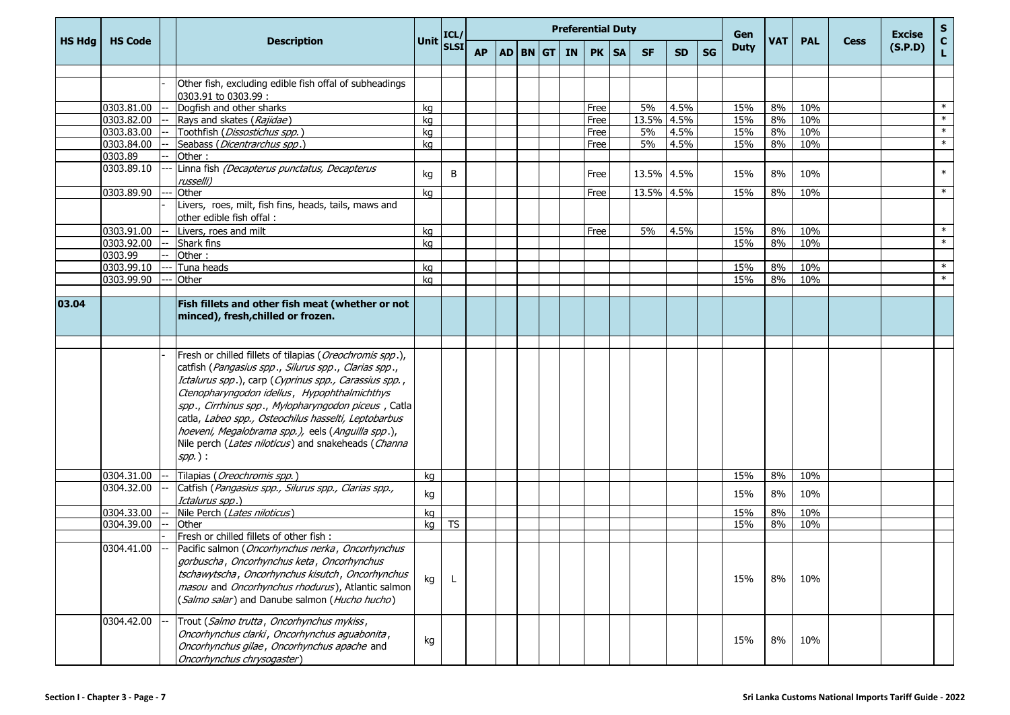|               |                |                                                                                                                                                                                                                                                                                                                                                                                                       |             | ICL/        |           |          |           | <b>Preferential Duty</b> |            |      |           | Gen         |            |            |             | <b>Excise</b> | $rac{S}{C}$ |
|---------------|----------------|-------------------------------------------------------------------------------------------------------------------------------------------------------------------------------------------------------------------------------------------------------------------------------------------------------------------------------------------------------------------------------------------------------|-------------|-------------|-----------|----------|-----------|--------------------------|------------|------|-----------|-------------|------------|------------|-------------|---------------|-------------|
| <b>HS Hdg</b> | <b>HS Code</b> | <b>Description</b>                                                                                                                                                                                                                                                                                                                                                                                    | <b>Unit</b> | <b>SLSI</b> | <b>AP</b> | AD BN GT | <b>IN</b> | PK   SA                  | <b>SF</b>  | SD.  | <b>SG</b> | <b>Duty</b> | <b>VAT</b> | <b>PAL</b> | <b>Cess</b> | (S.P.D)       | L.          |
|               |                |                                                                                                                                                                                                                                                                                                                                                                                                       |             |             |           |          |           |                          |            |      |           |             |            |            |             |               |             |
|               |                | Other fish, excluding edible fish offal of subheadings<br>0303.91 to 0303.99 :                                                                                                                                                                                                                                                                                                                        |             |             |           |          |           |                          |            |      |           |             |            |            |             |               |             |
|               | 0303.81.00     | Dogfish and other sharks                                                                                                                                                                                                                                                                                                                                                                              | kg          |             |           |          |           | Free                     | 5%         | 4.5% |           | 15%         | 8%         | 10%        |             |               | $\ast$      |
|               | 0303.82.00     | Rays and skates (Rajidae)                                                                                                                                                                                                                                                                                                                                                                             | kg          |             |           |          |           | Free                     | 13.5% 4.5% |      |           | 15%         | 8%         | 10%        |             |               | $\ast$      |
|               | 0303.83.00     | Toothfish (Dissostichus spp.)                                                                                                                                                                                                                                                                                                                                                                         | kg          |             |           |          |           | Free                     | 5%         | 4.5% |           | 15%         | 8%         | 10%        |             |               | $\ast$      |
|               | 0303.84.00     | Seabass (Dicentrarchus spp.)                                                                                                                                                                                                                                                                                                                                                                          | kg          |             |           |          |           | Free                     | 5%         | 4.5% |           | 15%         | 8%         | 10%        |             |               | $\ast$      |
|               | 0303.89        | Other:                                                                                                                                                                                                                                                                                                                                                                                                |             |             |           |          |           |                          |            |      |           |             |            |            |             |               |             |
|               | 0303.89.10     | Linna fish (Decapterus punctatus, Decapterus<br>russelli)                                                                                                                                                                                                                                                                                                                                             | kg          | B           |           |          |           | Free                     | 13.5% 4.5% |      |           | 15%         | 8%         | 10%        |             |               | $\ast$      |
|               | 0303.89.90     | Other                                                                                                                                                                                                                                                                                                                                                                                                 | kg          |             |           |          |           | Free                     | 13.5% 4.5% |      |           | 15%         | 8%         | 10%        |             |               | $\ast$      |
|               |                | Livers, roes, milt, fish fins, heads, tails, maws and<br>other edible fish offal:                                                                                                                                                                                                                                                                                                                     |             |             |           |          |           |                          |            |      |           |             |            |            |             |               |             |
|               | 0303.91.00     | Livers, roes and milt                                                                                                                                                                                                                                                                                                                                                                                 | kg          |             |           |          |           | Free                     | 5%         | 4.5% |           | 15%         | 8%         | 10%        |             |               | $\ast$      |
|               | 0303.92.00     | <b>Shark fins</b>                                                                                                                                                                                                                                                                                                                                                                                     | kg          |             |           |          |           |                          |            |      |           | 15%         | 8%         | 10%        |             |               | $\ast$      |
|               | 0303.99        | Other:                                                                                                                                                                                                                                                                                                                                                                                                |             |             |           |          |           |                          |            |      |           |             |            |            |             |               |             |
|               | 0303.99.10     | Tuna heads                                                                                                                                                                                                                                                                                                                                                                                            | kg          |             |           |          |           |                          |            |      |           | 15%         | 8%         | 10%        |             |               | $\ast$      |
|               | 0303.99.90     | Other                                                                                                                                                                                                                                                                                                                                                                                                 | kg          |             |           |          |           |                          |            |      |           | 15%         | 8%         | 10%        |             |               | $\ast$      |
| 03.04         |                | Fish fillets and other fish meat (whether or not<br>minced), fresh, chilled or frozen.                                                                                                                                                                                                                                                                                                                |             |             |           |          |           |                          |            |      |           |             |            |            |             |               |             |
|               |                | Fresh or chilled fillets of tilapias (Oreochromis spp.),                                                                                                                                                                                                                                                                                                                                              |             |             |           |          |           |                          |            |      |           |             |            |            |             |               |             |
|               |                | catfish (Pangasius spp., Silurus spp., Clarias spp.,<br>Ictalurus spp.), carp (Cyprinus spp., Carassius spp.,<br>Ctenopharyngodon idellus, Hypophthalmichthys<br>spp., Cirrhinus spp., Mylopharyngodon piceus, Catla<br>catla, Labeo spp., Osteochilus hasselti, Leptobarbus<br>hoeveni, Megalobrama spp.), eels (Anguilla spp.),<br>Nile perch (Lates niloticus) and snakeheads (Channa<br>$spp.$ ): |             |             |           |          |           |                          |            |      |           |             |            |            |             |               |             |
|               | 0304.31.00     | Tilapias (Oreochromis spp.)                                                                                                                                                                                                                                                                                                                                                                           | kg          |             |           |          |           |                          |            |      |           | 15%         | 8%         | 10%        |             |               |             |
|               | 0304.32.00     | Catfish (Pangasius spp., Silurus spp., Clarias spp.,<br>Ictalurus spp.)                                                                                                                                                                                                                                                                                                                               | kg          |             |           |          |           |                          |            |      |           | 15%         | 8%         | 10%        |             |               |             |
|               | 0304.33.00     | Nile Perch (Lates niloticus)                                                                                                                                                                                                                                                                                                                                                                          | kg          |             |           |          |           |                          |            |      |           | 15%         | 8%         | 10%        |             |               |             |
|               | 0304.39.00     | Other                                                                                                                                                                                                                                                                                                                                                                                                 | kg          | <b>TS</b>   |           |          |           |                          |            |      |           | 15%         | 8%         | 10%        |             |               |             |
|               |                | Fresh or chilled fillets of other fish:                                                                                                                                                                                                                                                                                                                                                               |             |             |           |          |           |                          |            |      |           |             |            |            |             |               |             |
|               | 0304.41.00     | Pacific salmon (Oncorhynchus nerka, Oncorhynchus<br>gorbuscha, Oncorhynchus keta, Oncorhynchus<br>tschawytscha, Oncorhynchus kisutch, Oncorhynchus<br>masou and Oncorhynchus rhodurus), Atlantic salmon<br>(Salmo salar) and Danube salmon (Hucho hucho)                                                                                                                                              | kg          |             |           |          |           |                          |            |      |           | 15%         | 8%         | 10%        |             |               |             |
|               | 0304.42.00     | Trout (Salmo trutta, Oncorhynchus mykiss,<br>Oncorhynchus clarki, Oncorhynchus aguabonita,<br>Oncorhynchus gilae, Oncorhynchus apache and<br>Oncorhynchus chrysogaster)                                                                                                                                                                                                                               | kg          |             |           |          |           |                          |            |      |           | 15%         | 8%         | 10%        |             |               |             |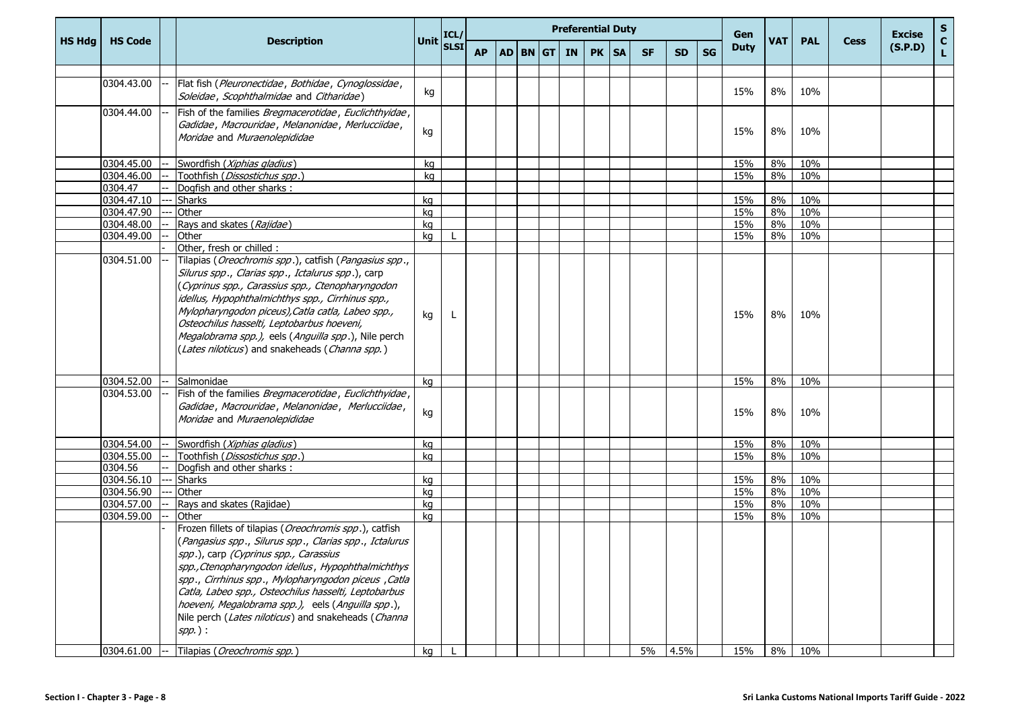|               |                |                                                                                                                                                                                                                                                                                                                                                                                                                                                         |                                                                 |           |  | <b>Preferential Duty</b> |         |           |           |           | Gen         |            |            |             | <b>Excise</b> | S                  |
|---------------|----------------|---------------------------------------------------------------------------------------------------------------------------------------------------------------------------------------------------------------------------------------------------------------------------------------------------------------------------------------------------------------------------------------------------------------------------------------------------------|-----------------------------------------------------------------|-----------|--|--------------------------|---------|-----------|-----------|-----------|-------------|------------|------------|-------------|---------------|--------------------|
| <b>HS Hdg</b> | <b>HS Code</b> | <b>Description</b>                                                                                                                                                                                                                                                                                                                                                                                                                                      | Unit $\begin{bmatrix} \text{ICL}/ \\ \text{SLSI} \end{bmatrix}$ | <b>AP</b> |  | AD BN GT IN              | PK   SA | <b>SF</b> | <b>SD</b> | <b>SG</b> | <b>Duty</b> | <b>VAT</b> | <b>PAL</b> | <b>Cess</b> | (S.P.D)       | $\mathbf{C}$<br>L. |
|               | 0304.43.00     | Flat fish (Pleuronectidae, Bothidae, Cynoglossidae,                                                                                                                                                                                                                                                                                                                                                                                                     |                                                                 |           |  |                          |         |           |           |           |             |            |            |             |               |                    |
|               |                | Soleidae, Scophthalmidae and Citharidae)                                                                                                                                                                                                                                                                                                                                                                                                                | kg                                                              |           |  |                          |         |           |           |           | 15%         | 8%         | 10%        |             |               |                    |
|               | 0304.44.00     | Fish of the families Bregmacerotidae, Euclichthyidae,<br>Gadidae, Macrouridae, Melanonidae, Merlucciidae,<br>Moridae and Muraenolepididae                                                                                                                                                                                                                                                                                                               | kg                                                              |           |  |                          |         |           |           |           | 15%         | 8%         | 10%        |             |               |                    |
|               | 0304.45.00     | Swordfish (Xiphias gladius)                                                                                                                                                                                                                                                                                                                                                                                                                             | kg                                                              |           |  |                          |         |           |           |           | 15%         | 8%         | 10%        |             |               |                    |
|               | 0304.46.00     | Toothfish (Dissostichus spp.)                                                                                                                                                                                                                                                                                                                                                                                                                           | kg                                                              |           |  |                          |         |           |           |           | 15%         | 8%         | 10%        |             |               |                    |
|               | 0304.47        | Dogfish and other sharks:                                                                                                                                                                                                                                                                                                                                                                                                                               |                                                                 |           |  |                          |         |           |           |           |             |            |            |             |               |                    |
|               | 0304.47.10     | <b>Sharks</b>                                                                                                                                                                                                                                                                                                                                                                                                                                           | kq                                                              |           |  |                          |         |           |           |           | 15%         | 8%         | 10%        |             |               |                    |
|               | 0304.47.90     | Other                                                                                                                                                                                                                                                                                                                                                                                                                                                   | kg                                                              |           |  |                          |         |           |           |           | 15%         | 8%         | 10%        |             |               |                    |
|               | 0304.48.00     | Rays and skates (Rajidae)                                                                                                                                                                                                                                                                                                                                                                                                                               | kg                                                              |           |  |                          |         |           |           |           | 15%         | 8%         | 10%        |             |               |                    |
|               | 0304.49.00     | Other                                                                                                                                                                                                                                                                                                                                                                                                                                                   | kg                                                              |           |  |                          |         |           |           |           | 15%         | 8%         | 10%        |             |               |                    |
|               |                | Other, fresh or chilled :                                                                                                                                                                                                                                                                                                                                                                                                                               |                                                                 |           |  |                          |         |           |           |           |             |            |            |             |               |                    |
|               | 0304.51.00     | Tilapias ( <i>Oreochromis spp</i> .), catfish ( <i>Pangasius spp</i> .,<br>Silurus spp., Clarias spp., Ictalurus spp.), carp<br>(Cyprinus spp., Carassius spp., Ctenopharyngodon<br>idellus, Hypophthalmichthys spp., Cirrhinus spp.,<br>Mylopharyngodon piceus), Catla catla, Labeo spp.,<br>Osteochilus hasselti, Leptobarbus hoeveni,<br>Megalobrama spp.), eels (Anguilla spp.), Nile perch<br>(Lates niloticus) and snakeheads (Channa spp.)       | ka                                                              |           |  |                          |         |           |           |           | 15%         | 8%         | 10%        |             |               |                    |
|               | 0304.52.00     | Salmonidae                                                                                                                                                                                                                                                                                                                                                                                                                                              | ka                                                              |           |  |                          |         |           |           |           | 15%         | 8%         | 10%        |             |               |                    |
|               | 0304.53.00     | Fish of the families Bregmacerotidae, Euclichthyidae,<br>Gadidae, Macrouridae, Melanonidae, Merlucciidae,<br>Moridae and Muraenolepididae                                                                                                                                                                                                                                                                                                               | kg                                                              |           |  |                          |         |           |           |           | 15%         | 8%         | 10%        |             |               |                    |
|               | 0304.54.00     | Swordfish (Xiphias gladius)                                                                                                                                                                                                                                                                                                                                                                                                                             | kg                                                              |           |  |                          |         |           |           |           | 15%         | 8%         | 10%        |             |               |                    |
|               | 0304.55.00     | Toothfish (Dissostichus spp.)                                                                                                                                                                                                                                                                                                                                                                                                                           | ka                                                              |           |  |                          |         |           |           |           | 15%         | 8%         | 10%        |             |               |                    |
|               | 0304.56        | Dogfish and other sharks:                                                                                                                                                                                                                                                                                                                                                                                                                               |                                                                 |           |  |                          |         |           |           |           |             |            |            |             |               |                    |
|               | 0304.56.10     | <b>Sharks</b>                                                                                                                                                                                                                                                                                                                                                                                                                                           | kq                                                              |           |  |                          |         |           |           |           | 15%         | 8%         | 10%        |             |               |                    |
|               | 0304.56.90     | Other                                                                                                                                                                                                                                                                                                                                                                                                                                                   | kg                                                              |           |  |                          |         |           |           |           | 15%         | 8%         | 10%        |             |               |                    |
|               | 0304.57.00     | Rays and skates (Rajidae)                                                                                                                                                                                                                                                                                                                                                                                                                               | kg                                                              |           |  |                          |         |           |           |           | 15%         | 8%         | 10%        |             |               |                    |
|               | 0304.59.00     | Other                                                                                                                                                                                                                                                                                                                                                                                                                                                   | kg                                                              |           |  |                          |         |           |           |           | 15%         | 8%         | 10%        |             |               |                    |
|               |                | Frozen fillets of tilapias (Oreochromis spp.), catfish<br>(Pangasius spp., Silurus spp., Clarias spp., Ictalurus<br>spp.), carp (Cyprinus spp., Carassius<br>spp., Ctenopharyngodon idellus, Hypophthalmichthys<br>spp., Cirrhinus spp., Mylopharyngodon piceus, Catla<br>Catla, Labeo spp., Osteochilus hasselti, Leptobarbus<br>hoeveni, Megalobrama spp.), eels (Anguilla spp.),<br>Nile perch (Lates niloticus) and snakeheads (Channa<br>$spp.$ ): |                                                                 |           |  |                          |         |           |           |           |             |            |            |             |               |                    |
|               | 0304.61.00     | Tilapias (Oreochromis spp.)                                                                                                                                                                                                                                                                                                                                                                                                                             | kg                                                              |           |  |                          |         | 5%        | 4.5%      |           | 15%         | 8%         | 10%        |             |               |                    |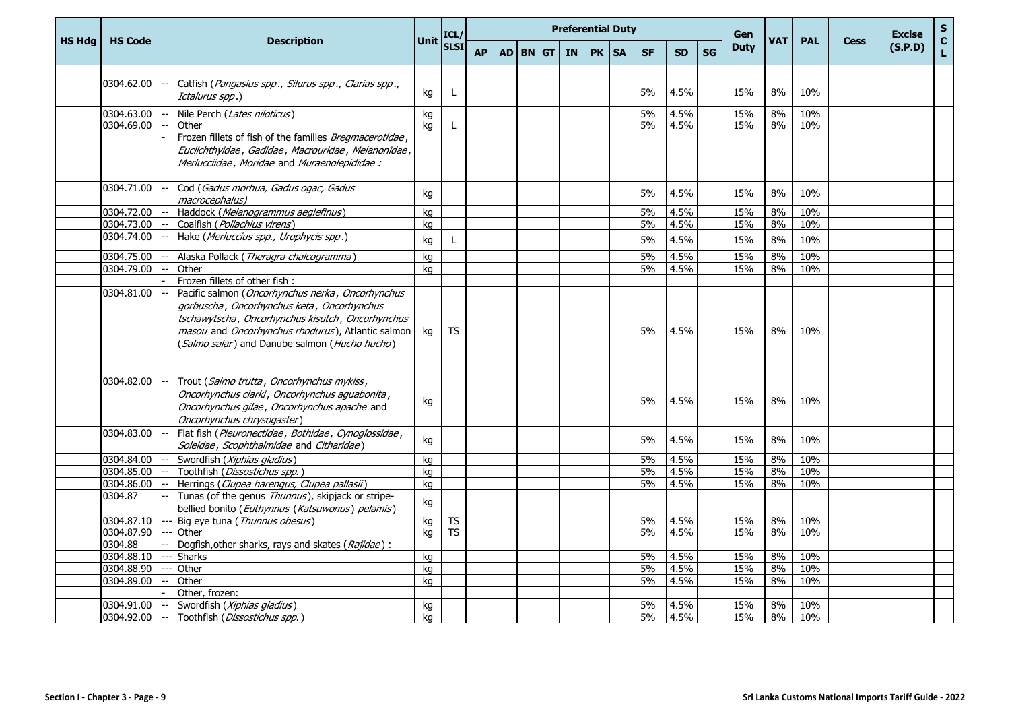|               |                |        |                                                                                                                                                                                                                |      | ICL/         |           |  | <b>Preferential Duty</b> |    |           |           |           |           | Gen         |            |            |             | <b>Excise</b> | $\mathbf{s}$       |
|---------------|----------------|--------|----------------------------------------------------------------------------------------------------------------------------------------------------------------------------------------------------------------|------|--------------|-----------|--|--------------------------|----|-----------|-----------|-----------|-----------|-------------|------------|------------|-------------|---------------|--------------------|
| <b>HS Hdg</b> | <b>HS Code</b> |        | <b>Description</b>                                                                                                                                                                                             | Unit | <b>SLSI</b>  | <b>AP</b> |  | AD BN GT IN              | PK | <b>SA</b> | <b>SF</b> | <b>SD</b> | <b>SG</b> | <b>Duty</b> | <b>VAT</b> | <b>PAL</b> | <b>Cess</b> | (S.P.D)       | $\mathbf{C}$<br>L. |
|               |                |        |                                                                                                                                                                                                                |      |              |           |  |                          |    |           |           |           |           |             |            |            |             |               |                    |
|               | 0304.62.00     |        | Catfish (Pangasius spp., Silurus spp., Clarias spp.,<br>Ictalurus spp.)                                                                                                                                        | kg   | L            |           |  |                          |    |           | 5%        | 4.5%      |           | 15%         | 8%         | 10%        |             |               |                    |
|               | 0304.63.00     |        | Nile Perch (Lates niloticus)                                                                                                                                                                                   | kg   |              |           |  |                          |    |           | 5%        | 4.5%      |           | 15%         | 8%         | 10%        |             |               |                    |
|               | 0304.69.00     |        | Other                                                                                                                                                                                                          | kg   | $\mathbf{I}$ |           |  |                          |    |           | 5%        | 4.5%      |           | 15%         | 8%         | 10%        |             |               |                    |
|               |                |        | Frozen fillets of fish of the families Bregmacerotidae,<br>Euclichthyidae, Gadidae, Macrouridae, Melanonidae,<br>Merlucciidae, Moridae and Muraenolepididae :                                                  |      |              |           |  |                          |    |           |           |           |           |             |            |            |             |               |                    |
|               | 0304.71.00     |        | Cod (Gadus morhua, Gadus ogac, Gadus<br>macrocephalus)                                                                                                                                                         | kg   |              |           |  |                          |    |           | 5%        | 4.5%      |           | 15%         | 8%         | 10%        |             |               |                    |
|               | 0304.72.00     |        | Haddock (Melanogrammus aeglefinus)                                                                                                                                                                             | kg   |              |           |  |                          |    |           | 5%        | 4.5%      |           | 15%         | 8%         | 10%        |             |               |                    |
|               | 0304.73.00     |        | Coalfish (Pollachius virens)                                                                                                                                                                                   | kg   |              |           |  |                          |    |           | 5%        | 4.5%      |           | 15%         | 8%         | 10%        |             |               |                    |
|               | 0304.74.00     |        | Hake (Merluccius spp., Urophycis spp.)                                                                                                                                                                         | kg   | L            |           |  |                          |    |           | 5%        | 4.5%      |           | 15%         | 8%         | 10%        |             |               |                    |
|               | 0304.75.00     |        | Alaska Pollack (Theragra chalcogramma)                                                                                                                                                                         | kg   |              |           |  |                          |    |           | 5%        | 4.5%      |           | 15%         | 8%         | 10%        |             |               |                    |
|               | 0304.79.00     |        | Other                                                                                                                                                                                                          | ka   |              |           |  |                          |    |           | 5%        | 4.5%      |           | 15%         | 8%         | 10%        |             |               |                    |
|               | 0304.81.00     |        | Frozen fillets of other fish:<br>Pacific salmon (Oncorhynchus nerka, Oncorhynchus                                                                                                                              |      |              |           |  |                          |    |           |           |           |           |             |            |            |             |               |                    |
|               |                |        | gorbuscha, Oncorhynchus keta, Oncorhynchus<br>tschawytscha, Oncorhynchus kisutch, Oncorhynchus<br>masou and <i>Oncorhynchus rhodurus</i> ), Atlantic salmon  <br>(Salmo salar) and Danube salmon (Hucho hucho) | kg   | TS           |           |  |                          |    |           | 5%        | 4.5%      |           | 15%         | 8%         | 10%        |             |               |                    |
|               | 0304.82.00     |        | Trout (Salmo trutta, Oncorhynchus mykiss,<br>Oncorhynchus clarki, Oncorhynchus aguabonita,<br>Oncorhynchus gilae, Oncorhynchus apache and<br>Oncorhynchus chrysogaster)                                        | kg   |              |           |  |                          |    |           | 5%        | 4.5%      |           | 15%         | 8%         | 10%        |             |               |                    |
|               | 0304.83.00     |        | Flat fish (Pleuronectidae, Bothidae, Cynoglossidae,<br>Soleidae, Scophthalmidae and Citharidae)                                                                                                                | kg   |              |           |  |                          |    |           | 5%        | 4.5%      |           | 15%         | 8%         | 10%        |             |               |                    |
|               | 0304.84.00     |        | Swordfish (Xiphias gladius)                                                                                                                                                                                    | kg   |              |           |  |                          |    |           | 5%        | 4.5%      |           | 15%         | 8%         | 10%        |             |               |                    |
|               | 0304.85.00     |        | Toothfish (Dissostichus spp.)                                                                                                                                                                                  | ka   |              |           |  |                          |    |           | 5%        | 4.5%      |           | 15%         | 8%         | 10%        |             |               |                    |
|               | 0304.86.00     |        | Herrings (Clupea harengus, Clupea pallasii)                                                                                                                                                                    | kg   |              |           |  |                          |    |           | 5%        | 4.5%      |           | 15%         | 8%         | 10%        |             |               |                    |
|               | 0304.87        |        | Tunas (of the genus Thunnus), skipjack or stripe-<br>bellied bonito (Euthynnus (Katsuwonus) pelamis)                                                                                                           | kg   |              |           |  |                          |    |           |           |           |           |             |            |            |             |               |                    |
|               | 0304.87.10     |        | Big eye tuna (Thunnus obesus)                                                                                                                                                                                  | kg   | <b>TS</b>    |           |  |                          |    |           | 5%        | 4.5%      |           | 15%         | 8%         | 10%        |             |               |                    |
|               | 0304.87.90     |        | Other                                                                                                                                                                                                          | ka   | <b>TS</b>    |           |  |                          |    |           | 5%        | 4.5%      |           | 15%         | 8%         | 10%        |             |               |                    |
|               | 0304.88        |        | Dogfish, other sharks, rays and skates (Rajidae):                                                                                                                                                              |      |              |           |  |                          |    |           |           |           |           |             |            |            |             |               |                    |
|               | 0304.88.10     |        | <b>Sharks</b>                                                                                                                                                                                                  | kg   |              |           |  |                          |    |           | 5%        | 4.5%      |           | 15%         | 8%         | 10%        |             |               |                    |
|               | 0304.88.90     |        | Other                                                                                                                                                                                                          | kg   |              |           |  |                          |    |           | 5%        | 4.5%      |           | 15%         | 8%         | 10%        |             |               |                    |
|               | 0304.89.00     |        | Other                                                                                                                                                                                                          | kg   |              |           |  |                          |    |           | 5%        | 4.5%      |           | 15%         | 8%         | 10%        |             |               |                    |
|               |                |        | Other, frozen:                                                                                                                                                                                                 |      |              |           |  |                          |    |           |           |           |           |             |            |            |             |               |                    |
|               | 0304.91.00     | $  \,$ | Swordfish (Xiphias gladius)                                                                                                                                                                                    | kg   |              |           |  |                          |    |           | 5%<br>5%  | 4.5%      |           | 15%<br>15%  | 8%<br>8%   | 10%<br>10% |             |               |                    |
|               |                |        | 0304.92.00 -- Toothfish ( <i>Dissostichus spp.</i> )                                                                                                                                                           | kg   |              |           |  |                          |    |           |           | 4.5%      |           |             |            |            |             |               |                    |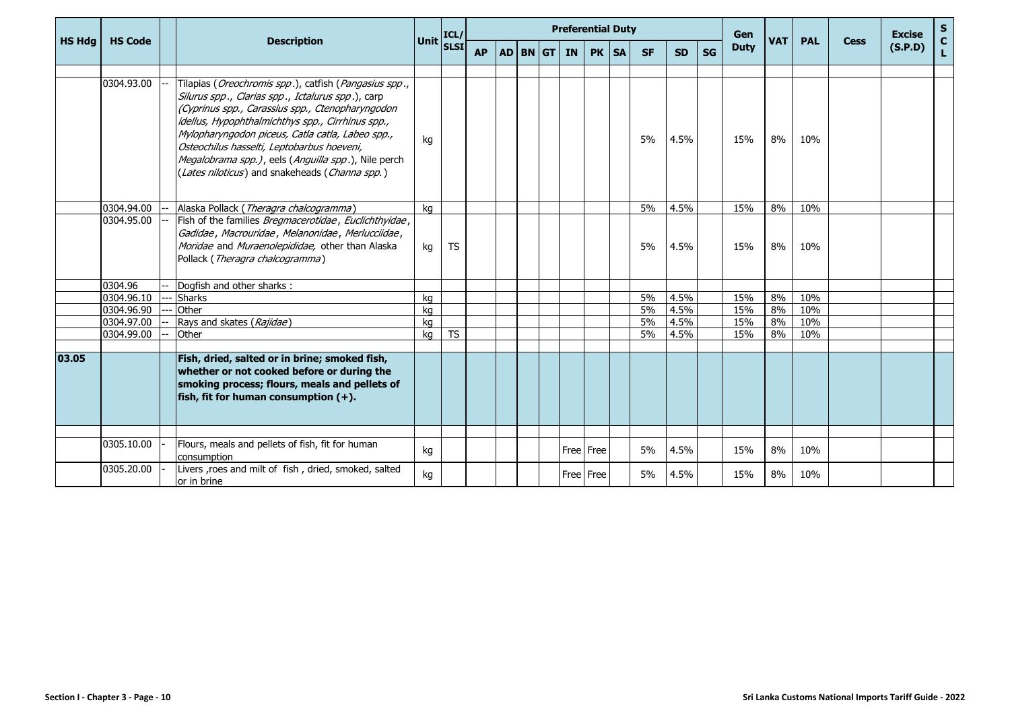|               |                |                                                                                                                                                                                                                                                                                                                                                                                                                                                  |             | ICL/        |           |  |          | <b>Preferential Duty</b> |           |           |           |           |    | Gen         |            |            |             | <b>Excise</b> | ${\sf s}$          |
|---------------|----------------|--------------------------------------------------------------------------------------------------------------------------------------------------------------------------------------------------------------------------------------------------------------------------------------------------------------------------------------------------------------------------------------------------------------------------------------------------|-------------|-------------|-----------|--|----------|--------------------------|-----------|-----------|-----------|-----------|----|-------------|------------|------------|-------------|---------------|--------------------|
| <b>HS Hdg</b> | <b>HS Code</b> | <b>Description</b>                                                                                                                                                                                                                                                                                                                                                                                                                               | <b>Unit</b> | <b>SLSI</b> | <b>AP</b> |  | AD BN GT | <b>IN</b>                | PK        | <b>SA</b> | <b>SF</b> | <b>SD</b> | SG | <b>Duty</b> | <b>VAT</b> | <b>PAL</b> | <b>Cess</b> | (S.P.D)       | $\mathbf{C}$<br>L. |
|               |                |                                                                                                                                                                                                                                                                                                                                                                                                                                                  |             |             |           |  |          |                          |           |           |           |           |    |             |            |            |             |               |                    |
|               | 0304.93.00     | Tilapias ( <i>Oreochromis spp</i> .), catfish ( <i>Pangasius spp</i> .,<br>Silurus spp., Clarias spp., Ictalurus spp.), carp<br>(Cyprinus spp., Carassius spp., Ctenopharyngodon<br>idellus, Hypophthalmichthys spp., Cirrhinus spp.,<br>Mylopharyngodon piceus, Catla catla, Labeo spp.,<br>Osteochilus hasselti, Leptobarbus hoeveni,<br>Megalobrama spp.), eels (Anguilla spp.), Nile perch<br>(Lates niloticus) and snakeheads (Channa spp.) | kg          |             |           |  |          |                          |           |           | 5%        | 4.5%      |    | 15%         | 8%         | 10%        |             |               |                    |
|               | 0304.94.00     | Alaska Pollack (Theragra chalcogramma)                                                                                                                                                                                                                                                                                                                                                                                                           | ka          |             |           |  |          |                          |           |           | 5%        | 4.5%      |    | 15%         | 8%         | 10%        |             |               |                    |
|               | 0304.95.00     | Fish of the families Bregmacerotidae, Euclichthyidae,<br>Gadidae, Macrouridae, Melanonidae, Merlucciidae,<br>Moridae and Muraenolepididae, other than Alaska<br>Pollack (Theragra chalcogramma)                                                                                                                                                                                                                                                  | kg          | <b>TS</b>   |           |  |          |                          |           |           | 5%        | 4.5%      |    | 15%         | 8%         | 10%        |             |               |                    |
|               | 0304.96        | Dogfish and other sharks:                                                                                                                                                                                                                                                                                                                                                                                                                        |             |             |           |  |          |                          |           |           |           |           |    |             |            |            |             |               |                    |
|               | 0304.96.10     | <b>Sharks</b>                                                                                                                                                                                                                                                                                                                                                                                                                                    | kg          |             |           |  |          |                          |           |           | 5%        | 4.5%      |    | 15%         | 8%         | 10%        |             |               |                    |
|               | 0304.96.90     | Other                                                                                                                                                                                                                                                                                                                                                                                                                                            | kg          |             |           |  |          |                          |           |           | 5%        | 4.5%      |    | 15%         | 8%         | 10%        |             |               |                    |
|               | 0304.97.00     | Rays and skates (Rajidae)                                                                                                                                                                                                                                                                                                                                                                                                                        | kg          |             |           |  |          |                          |           |           | 5%        | 4.5%      |    | 15%         | 8%         | 10%        |             |               |                    |
|               | 0304.99.00     | Other                                                                                                                                                                                                                                                                                                                                                                                                                                            | kg          | <b>TS</b>   |           |  |          |                          |           |           | 5%        | 4.5%      |    | 15%         | 8%         | 10%        |             |               |                    |
| 03.05         |                | Fish, dried, salted or in brine; smoked fish,<br>whether or not cooked before or during the<br>smoking process; flours, meals and pellets of<br>fish, fit for human consumption $(+)$ .                                                                                                                                                                                                                                                          |             |             |           |  |          |                          |           |           |           |           |    |             |            |            |             |               |                    |
|               |                |                                                                                                                                                                                                                                                                                                                                                                                                                                                  |             |             |           |  |          |                          |           |           |           |           |    |             |            |            |             |               |                    |
|               | 0305.10.00     | Flours, meals and pellets of fish, fit for human<br>consumption                                                                                                                                                                                                                                                                                                                                                                                  | kg          |             |           |  |          |                          | Free Free |           | 5%        | 4.5%      |    | 15%         | 8%         | 10%        |             |               |                    |
|               | 0305.20.00     | Livers , roes and milt of fish, dried, smoked, salted<br>or in brine                                                                                                                                                                                                                                                                                                                                                                             | kg          |             |           |  |          |                          | Free Free |           | 5%        | 4.5%      |    | 15%         | 8%         | 10%        |             |               |                    |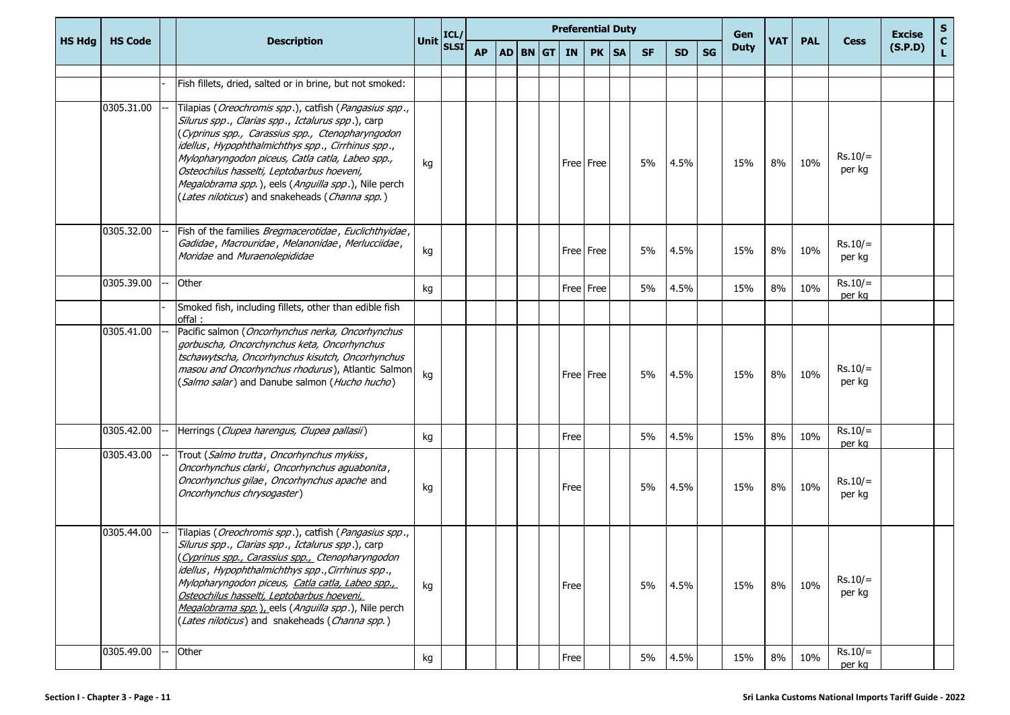|               |                |                                                                                                                                                                                                                                                                                                                                                                                                                                                  |           | ICL/ |           |  | <b>Preferential Duty</b><br>AD BN GT<br>PK   SA<br>IN |      |           |  |           |           | Gen |             |            |            | <b>Excise</b>       | $\mathbf{s}$ |                    |
|---------------|----------------|--------------------------------------------------------------------------------------------------------------------------------------------------------------------------------------------------------------------------------------------------------------------------------------------------------------------------------------------------------------------------------------------------------------------------------------------------|-----------|------|-----------|--|-------------------------------------------------------|------|-----------|--|-----------|-----------|-----|-------------|------------|------------|---------------------|--------------|--------------------|
| <b>HS Hdg</b> | <b>HS Code</b> | <b>Description</b>                                                                                                                                                                                                                                                                                                                                                                                                                               | Unit SLSI |      | <b>AP</b> |  |                                                       |      |           |  | <b>SF</b> | <b>SD</b> | SG  | <b>Duty</b> | <b>VAT</b> | <b>PAL</b> | <b>Cess</b>         | (S.P.D)      | $\mathbf{C}$<br>L. |
|               |                | Fish fillets, dried, salted or in brine, but not smoked:                                                                                                                                                                                                                                                                                                                                                                                         |           |      |           |  |                                                       |      |           |  |           |           |     |             |            |            |                     |              |                    |
|               | 0305.31.00     | Tilapias ( <i>Oreochromis spp</i> .), catfish ( <i>Pangasius spp</i> .,<br>Silurus spp., Clarias spp., Ictalurus spp.), carp<br>(Cyprinus spp., Carassius spp., Ctenopharyngodon<br>idellus, Hypophthalmichthys spp., Cirrhinus spp.,<br>Mylopharyngodon piceus, Catla catla, Labeo spp.,<br>Osteochilus hasselti, Leptobarbus hoeveni,<br>Megalobrama spp.), eels (Anguilla spp.), Nile perch<br>(Lates niloticus) and snakeheads (Channa spp.) | kg        |      |           |  |                                                       |      | Free Free |  | 5%        | 4.5%      |     | 15%         | 8%         | 10%        | $Rs.10/=$<br>per kg |              |                    |
|               | 0305.32.00     | Fish of the families Bregmacerotidae, Euclichthyidae,<br>Gadidae, Macrouridae, Melanonidae, Merlucciidae,<br>Moridae and Muraenolepididae                                                                                                                                                                                                                                                                                                        | kg        |      |           |  |                                                       |      | Free Free |  | 5%        | 4.5%      |     | 15%         | 8%         | 10%        | $Rs.10/=$<br>per kg |              |                    |
|               | 0305.39.00     | Other                                                                                                                                                                                                                                                                                                                                                                                                                                            | kg        |      |           |  |                                                       |      | Free Free |  | 5%        | 4.5%      |     | 15%         | 8%         | 10%        | $Rs.10/=$<br>per kg |              |                    |
|               |                | Smoked fish, including fillets, other than edible fish<br>offal:                                                                                                                                                                                                                                                                                                                                                                                 |           |      |           |  |                                                       |      |           |  |           |           |     |             |            |            |                     |              |                    |
|               | 0305.41.00     | Pacific salmon (Oncorhynchus nerka, Oncorhynchus<br>gorbuscha, Oncorchynchus keta, Oncorhynchus<br>tschawytscha, Oncorhynchus kisutch, Oncorhynchus<br>masou and Oncorhynchus rhodurus), Atlantic Salmon<br>(Salmo salar) and Danube salmon (Hucho hucho)                                                                                                                                                                                        | kg        |      |           |  |                                                       |      | Free Free |  | 5%        | 4.5%      |     | 15%         | 8%         | 10%        | $Rs.10/=$<br>per kg |              |                    |
|               | 0305.42.00     | Herrings (Clupea harengus, Clupea pallasii)                                                                                                                                                                                                                                                                                                                                                                                                      | kg        |      |           |  |                                                       | Free |           |  | 5%        | 4.5%      |     | 15%         | 8%         | 10%        | $Rs.10/=$<br>per kg |              |                    |
|               | 0305.43.00     | Trout (Salmo trutta, Oncorhynchus mykiss,<br>Oncorhynchus clarki, Oncorhynchus aguabonita,<br>Oncorhynchus gilae, Oncorhynchus apache and<br>Oncorhynchus chrysogaster)                                                                                                                                                                                                                                                                          | kg        |      |           |  |                                                       | Free |           |  | 5%        | 4.5%      |     | 15%         | 8%         | 10%        | $Rs.10/=$<br>per kg |              |                    |
|               | 0305.44.00     | Tilapias (Oreochromis spp.), catfish (Pangasius spp.,<br>Silurus spp., Clarias spp., Ictalurus spp.), carp<br>(Cyprinus spp., Carassius spp., Ctenopharyngodon<br>idellus, Hypophthalmichthys spp., Cirrhinus spp.,<br>Mylopharyngodon piceus, Catla catla, Labeo spp.,<br>Osteochilus hasselti, Leptobarbus hoeveni,<br>Megalobrama spp.), eels (Anguilla spp.), Nile perch<br>(Lates niloticus) and snakeheads (Channa spp.)                   | kg        |      |           |  |                                                       | Free |           |  | 5%        | 4.5%      |     | 15%         | 8%         | 10%        | $Rs.10/=$<br>per kg |              |                    |
|               | 0305.49.00     | Other                                                                                                                                                                                                                                                                                                                                                                                                                                            | kg        |      |           |  |                                                       | Free |           |  | 5%        | 4.5%      |     | 15%         | 8%         | 10%        | $Rs.10/=$<br>per kg |              |                    |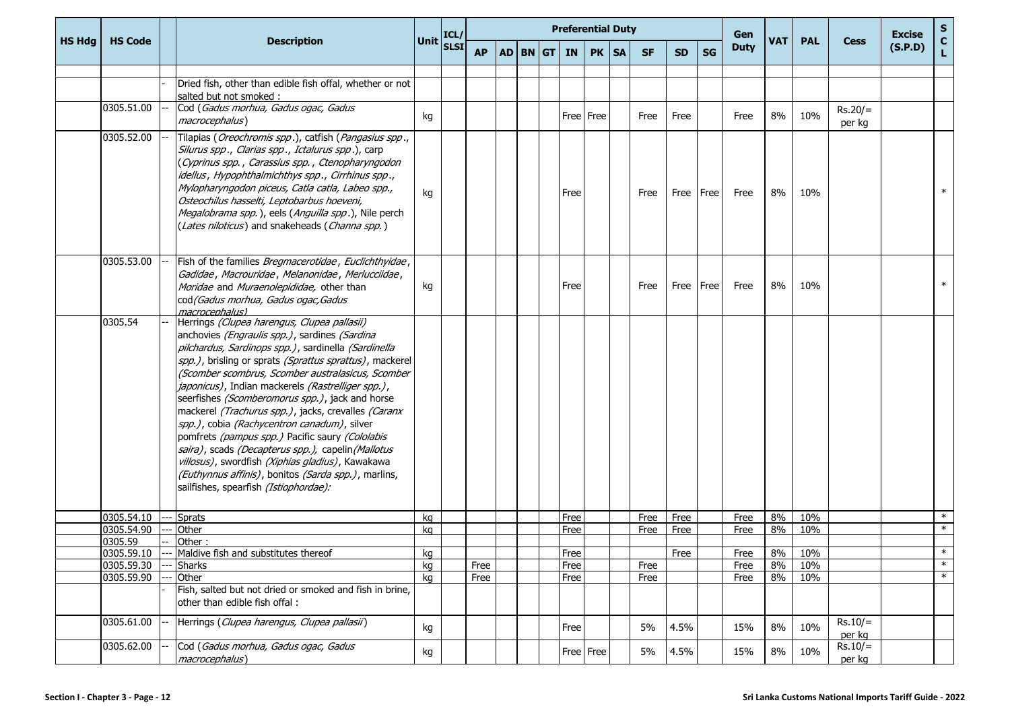|               |                |                                                                                                                                                                                                                                                                                                                                                                                                                                                                                                                                                                                                                                                                                                                                                |                                                                 |           |             | <b>Preferential Duty</b> |           |           |           |           | Gen         |            |            |                     | <b>Excise</b> | S                  |
|---------------|----------------|------------------------------------------------------------------------------------------------------------------------------------------------------------------------------------------------------------------------------------------------------------------------------------------------------------------------------------------------------------------------------------------------------------------------------------------------------------------------------------------------------------------------------------------------------------------------------------------------------------------------------------------------------------------------------------------------------------------------------------------------|-----------------------------------------------------------------|-----------|-------------|--------------------------|-----------|-----------|-----------|-----------|-------------|------------|------------|---------------------|---------------|--------------------|
| <b>HS Hdg</b> | <b>HS Code</b> | <b>Description</b>                                                                                                                                                                                                                                                                                                                                                                                                                                                                                                                                                                                                                                                                                                                             | Unit $\begin{bmatrix} \text{ICL}/ \\ \text{SLSI} \end{bmatrix}$ | <b>AP</b> | AD BN GT IN |                          | PK   SA   | <b>SF</b> | <b>SD</b> | SG        | <b>Duty</b> | <b>VAT</b> | <b>PAL</b> | <b>Cess</b>         | (S.P.D)       | $\mathbf{C}$<br>L. |
|               |                | Dried fish, other than edible fish offal, whether or not<br>salted but not smoked :                                                                                                                                                                                                                                                                                                                                                                                                                                                                                                                                                                                                                                                            |                                                                 |           |             |                          |           |           |           |           |             |            |            |                     |               |                    |
|               | 0305.51.00     | Cod (Gadus morhua, Gadus ogac, Gadus<br>macrocephalus)                                                                                                                                                                                                                                                                                                                                                                                                                                                                                                                                                                                                                                                                                         | kg                                                              |           |             |                          | Free Free | Free      | Free      |           | Free        | 8%         | 10%        | $Rs.20/=$<br>per kg |               |                    |
|               | 0305.52.00     | Tilapias (Oreochromis spp.), catfish (Pangasius spp.,<br>Silurus spp., Clarias spp., Ictalurus spp.), carp<br>(Cyprinus spp., Carassius spp., Ctenopharyngodon<br>idellus, Hypophthalmichthys spp., Cirrhinus spp.,<br>Mylopharyngodon piceus, Catla catla, Labeo spp.,<br>Osteochilus hasselti, Leptobarbus hoeveni,<br>Megalobrama spp.), eels (Anguilla spp.), Nile perch<br>(Lates niloticus) and snakeheads (Channa spp.)                                                                                                                                                                                                                                                                                                                 | ka                                                              |           |             | Free                     |           | Free      | Free Free |           | Free        | 8%         | 10%        |                     |               | $\ast$             |
|               | 0305.53.00     | Fish of the families Bregmacerotidae, Euclichthyidae,<br>Gadidae, Macrouridae, Melanonidae, Merlucciidae,<br>Moridae and Muraenolepididae, other than<br>cod (Gadus morhua, Gadus ogac, Gadus<br>macrocephalus)                                                                                                                                                                                                                                                                                                                                                                                                                                                                                                                                | kg                                                              |           |             | Free                     |           | Free      |           | Free Free | Free        | 8%         | 10%        |                     |               | $\ast$             |
|               | 0305.54        | Herrings (Clupea harengus, Clupea pallasii)<br>anchovies (Engraulis spp.), sardines (Sardina<br>pilchardus, Sardinops spp.), sardinella (Sardinella<br>spp.), brisling or sprats (Sprattus sprattus), mackerel<br>(Scomber scombrus, Scomber australasicus, Scomber<br>japonicus), Indian mackerels (Rastrelliger spp.),<br>seerfishes (Scomberomorus spp.), jack and horse<br>mackerel (Trachurus spp.), jacks, crevalles (Caranx<br>spp.), cobia (Rachycentron canadum), silver<br>pomfrets (pampus spp.) Pacific saury (Cololabis<br>saira), scads (Decapterus spp.), capelin (Mallotus<br>villosus), swordfish (Xiphias gladius), Kawakawa<br>(Euthynnus affinis), bonitos (Sarda spp.), marlins,<br>sailfishes, spearfish (Istiophordae): |                                                                 |           |             |                          |           |           |           |           |             |            |            |                     |               |                    |
|               | 0305.54.10     | <b>Sprats</b>                                                                                                                                                                                                                                                                                                                                                                                                                                                                                                                                                                                                                                                                                                                                  | kg                                                              |           |             | Free                     |           | Free      | Free      |           | Free        | 8%         | 10%        |                     |               | $\ast$             |
|               | 0305.54.90     | Other                                                                                                                                                                                                                                                                                                                                                                                                                                                                                                                                                                                                                                                                                                                                          | kg                                                              |           |             | Free                     |           | Free      | Free      |           | Free        | 8%         | 10%        |                     |               | $\ast$             |
|               | 0305.59        | Other:                                                                                                                                                                                                                                                                                                                                                                                                                                                                                                                                                                                                                                                                                                                                         |                                                                 |           |             |                          |           |           |           |           |             |            |            |                     |               |                    |
|               | 0305.59.10     | Maldive fish and substitutes thereof                                                                                                                                                                                                                                                                                                                                                                                                                                                                                                                                                                                                                                                                                                           | kg                                                              |           |             | Free                     |           |           | Free      |           | Free        | 8%         | 10%        |                     |               | $\ast$             |
|               | 0305.59.30     | <b>Sharks</b>                                                                                                                                                                                                                                                                                                                                                                                                                                                                                                                                                                                                                                                                                                                                  | kg                                                              | Free      |             | Free                     |           | Free      |           |           | Free        | 8%         | 10%        |                     |               | $\ast$             |
|               | 0305.59.90     | Other                                                                                                                                                                                                                                                                                                                                                                                                                                                                                                                                                                                                                                                                                                                                          | ka                                                              | Free      |             | Free                     |           | Free      |           |           | Free        | 8%         | 10%        |                     |               | $\ast$             |
|               |                | Fish, salted but not dried or smoked and fish in brine,<br>other than edible fish offal:                                                                                                                                                                                                                                                                                                                                                                                                                                                                                                                                                                                                                                                       |                                                                 |           |             |                          |           |           |           |           |             |            |            |                     |               |                    |
|               | 0305.61.00     | Herrings (Clupea harengus, Clupea pallasii)                                                                                                                                                                                                                                                                                                                                                                                                                                                                                                                                                                                                                                                                                                    | kg                                                              |           |             | Free                     |           | 5%        | 4.5%      |           | 15%         | 8%         | 10%        | $Rs.10/=$<br>per kg |               |                    |
|               | 0305.62.00     | Cod (Gadus morhua, Gadus ogac, Gadus<br>macrocephalus)                                                                                                                                                                                                                                                                                                                                                                                                                                                                                                                                                                                                                                                                                         | kg                                                              |           |             |                          | Free Free | 5%        | 4.5%      |           | 15%         | 8%         | 10%        | $Rs.10/=$<br>per kg |               |                    |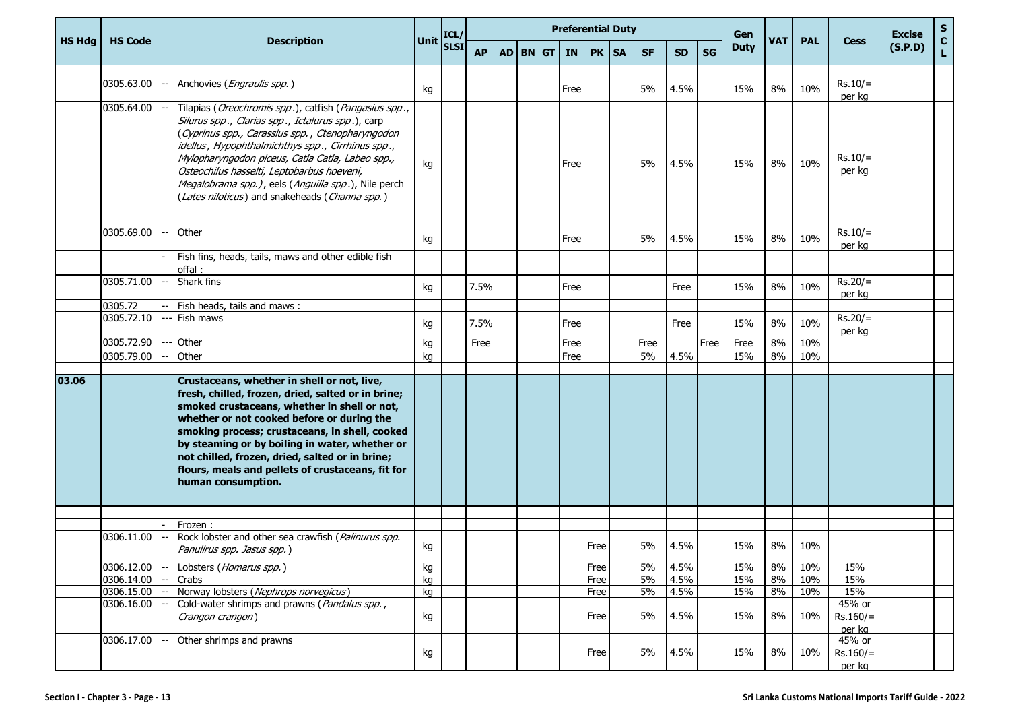|               |                |  | <b>Description</b>                                                                                                                                                                                                                                                                                                                                                                                                                |                                                        |           | <b>Preferential Duty</b><br>Gen |            |  |           |      |         |           |           |           |             |            |            |                                | <b>Excise</b> | ${\sf s}$     |
|---------------|----------------|--|-----------------------------------------------------------------------------------------------------------------------------------------------------------------------------------------------------------------------------------------------------------------------------------------------------------------------------------------------------------------------------------------------------------------------------------|--------------------------------------------------------|-----------|---------------------------------|------------|--|-----------|------|---------|-----------|-----------|-----------|-------------|------------|------------|--------------------------------|---------------|---------------|
| <b>HS Hdg</b> | <b>HS Code</b> |  |                                                                                                                                                                                                                                                                                                                                                                                                                                   | $\bigg \textsf{Unit}\bigg \textsf{ICL}/\bigg $<br>SLSI | <b>AP</b> |                                 | $AD$ BN GT |  | <b>IN</b> |      | PK   SA | <b>SF</b> | <b>SD</b> | <b>SG</b> | <b>Duty</b> | <b>VAT</b> | <b>PAL</b> | <b>Cess</b>                    | (S.P.D)       | $\frac{c}{L}$ |
|               | 0305.63.00     |  | Anchovies (Engraulis spp.)                                                                                                                                                                                                                                                                                                                                                                                                        |                                                        |           |                                 |            |  |           |      |         | 5%        |           |           | 15%         | 8%         | 10%        | $Rs.10/=$                      |               |               |
|               |                |  |                                                                                                                                                                                                                                                                                                                                                                                                                                   | kg                                                     |           |                                 |            |  | Free      |      |         |           | 4.5%      |           |             |            |            | per kg                         |               |               |
|               | 0305.64.00     |  | Tilapias (Oreochromis spp.), catfish (Pangasius spp.,<br>Silurus spp., Clarias spp., Ictalurus spp.), carp<br>(Cyprinus spp., Carassius spp., Ctenopharyngodon<br>idellus, Hypophthalmichthys spp., Cirrhinus spp.,<br>Mylopharyngodon piceus, Catla Catla, Labeo spp.,<br>Osteochilus hasselti, Leptobarbus hoeveni,<br>Megalobrama spp.), eels (Anguilla spp.), Nile perch<br>(Lates niloticus) and snakeheads (Channa spp.)    | kg                                                     |           |                                 |            |  | Free      |      |         | 5%        | 4.5%      |           | 15%         | 8%         | 10%        | $Rs.10/=$<br>per kg            |               |               |
|               | 0305.69.00     |  | Other                                                                                                                                                                                                                                                                                                                                                                                                                             | kg                                                     |           |                                 |            |  | Free      |      |         | 5%        | 4.5%      |           | 15%         | 8%         | 10%        | $Rs.10/=$<br>per kg            |               |               |
|               |                |  | Fish fins, heads, tails, maws and other edible fish<br>offal:                                                                                                                                                                                                                                                                                                                                                                     |                                                        |           |                                 |            |  |           |      |         |           |           |           |             |            |            |                                |               |               |
|               | 0305.71.00     |  | Shark fins                                                                                                                                                                                                                                                                                                                                                                                                                        | kg                                                     | 7.5%      |                                 |            |  | Free      |      |         |           | Free      |           | 15%         | 8%         | 10%        | $Rs.20/=$<br>per kg            |               |               |
|               | 0305.72        |  | Fish heads, tails and maws:                                                                                                                                                                                                                                                                                                                                                                                                       |                                                        |           |                                 |            |  |           |      |         |           |           |           |             |            |            |                                |               |               |
|               | 0305.72.10     |  | Fish maws                                                                                                                                                                                                                                                                                                                                                                                                                         | kg                                                     | 7.5%      |                                 |            |  | Free      |      |         |           | Free      |           | 15%         | 8%         | 10%        | $Rs.20/=$<br>per kg            |               |               |
|               | 0305.72.90     |  | Other                                                                                                                                                                                                                                                                                                                                                                                                                             | kg                                                     | Free      |                                 |            |  | Free      |      |         | Free      |           | Free      | Free        | 8%         | 10%        |                                |               |               |
|               | 0305.79.00     |  | Other                                                                                                                                                                                                                                                                                                                                                                                                                             | kg                                                     |           |                                 |            |  | Free      |      |         | 5%        | 4.5%      |           | 15%         | 8%         | 10%        |                                |               |               |
| 03.06         |                |  | Crustaceans, whether in shell or not, live,<br>fresh, chilled, frozen, dried, salted or in brine;<br>smoked crustaceans, whether in shell or not,<br>whether or not cooked before or during the<br>smoking process; crustaceans, in shell, cooked<br>by steaming or by boiling in water, whether or<br>not chilled, frozen, dried, salted or in brine;<br>flours, meals and pellets of crustaceans, fit for<br>human consumption. |                                                        |           |                                 |            |  |           |      |         |           |           |           |             |            |            |                                |               |               |
|               |                |  |                                                                                                                                                                                                                                                                                                                                                                                                                                   |                                                        |           |                                 |            |  |           |      |         |           |           |           |             |            |            |                                |               |               |
|               | 0306.11.00     |  | Frozen:<br>Rock lobster and other sea crawfish (Palinurus spp.<br>Panulirus spp. Jasus spp.)                                                                                                                                                                                                                                                                                                                                      | kg                                                     |           |                                 |            |  |           | Free |         | 5%        | 4.5%      |           | 15%         | 8%         | 10%        |                                |               |               |
|               | 0306.12.00     |  | Lobsters (Homarus spp.)                                                                                                                                                                                                                                                                                                                                                                                                           | kg                                                     |           |                                 |            |  |           | Free |         | 5%        | 4.5%      |           | 15%         | 8%         | 10%        | 15%                            |               |               |
|               | 0306.14.00     |  | Crabs                                                                                                                                                                                                                                                                                                                                                                                                                             | kg                                                     |           |                                 |            |  |           | Free |         | 5%        | 4.5%      |           | 15%         | 8%         | 10%        | 15%                            |               |               |
|               | 0306.15.00     |  | Norway lobsters (Nephrops norvegicus)                                                                                                                                                                                                                                                                                                                                                                                             | kg                                                     |           |                                 |            |  |           | Free |         | 5%        | 4.5%      |           | 15%         | 8%         | 10%        | 15%                            |               |               |
|               | 0306.16.00     |  | Cold-water shrimps and prawns (Pandalus spp.,<br>Crangon crangon)                                                                                                                                                                                                                                                                                                                                                                 | kg                                                     |           |                                 |            |  |           | Free |         | 5%        | 4.5%      |           | 15%         | 8%         | 10%        | 45% or<br>$Rs.160/=$<br>per kg |               |               |
|               | 0306.17.00     |  | Other shrimps and prawns                                                                                                                                                                                                                                                                                                                                                                                                          | kg                                                     |           |                                 |            |  |           | Free |         | 5%        | 4.5%      |           | 15%         | 8%         | 10%        | 45% or<br>$Rs.160/=$<br>per kg |               |               |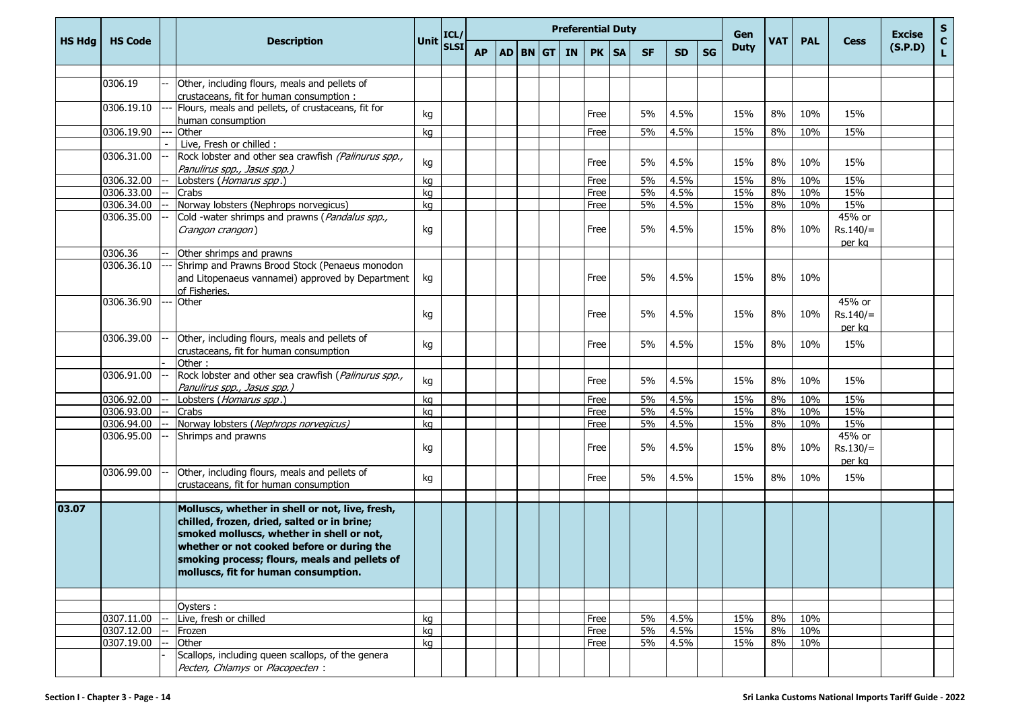|               |                |                                                                 |                                                                 |           |  |             | <b>Preferential Duty</b> |           |           |    | Gen         |            |            | <b>Cess</b> | <b>Excise</b><br>(S.P.D) | $\mathsf{s}$       |
|---------------|----------------|-----------------------------------------------------------------|-----------------------------------------------------------------|-----------|--|-------------|--------------------------|-----------|-----------|----|-------------|------------|------------|-------------|--------------------------|--------------------|
| <b>HS Hdg</b> | <b>HS Code</b> | <b>Description</b>                                              | Unit $\begin{bmatrix} \text{ICL}/ \\ \text{SLSI} \end{bmatrix}$ | <b>AP</b> |  | AD BN GT IN | PK   SA                  | <b>SF</b> | <b>SD</b> | SG | <b>Duty</b> | <b>VAT</b> | <b>PAL</b> |             |                          | $\mathbf{C}$<br>L. |
|               |                |                                                                 |                                                                 |           |  |             |                          |           |           |    |             |            |            |             |                          |                    |
|               | 0306.19        | Other, including flours, meals and pellets of                   |                                                                 |           |  |             |                          |           |           |    |             |            |            |             |                          |                    |
|               |                | crustaceans, fit for human consumption :                        |                                                                 |           |  |             |                          |           |           |    |             |            |            |             |                          |                    |
|               | 0306.19.10     | Flours, meals and pellets, of crustaceans, fit for              | kg                                                              |           |  |             | Free                     | 5%        | 4.5%      |    | 15%         | 8%         | 10%        | 15%         |                          |                    |
|               | 0306.19.90     | human consumption<br>Other                                      | kg                                                              |           |  |             | Free                     | 5%        | 4.5%      |    | 15%         | 8%         | 10%        | 15%         |                          |                    |
|               |                | Live, Fresh or chilled :                                        |                                                                 |           |  |             |                          |           |           |    |             |            |            |             |                          |                    |
|               | 0306.31.00     | Rock lobster and other sea crawfish (Palinurus spp.,            |                                                                 |           |  |             |                          |           |           |    |             |            |            |             |                          |                    |
|               |                | Panulirus spp., Jasus spp.)                                     | kg                                                              |           |  |             | Free                     | 5%        | 4.5%      |    | 15%         | 8%         | 10%        | 15%         |                          |                    |
|               | 0306.32.00     | Lobsters ( <i>Homarus spp</i> .)                                | kg                                                              |           |  |             | Free                     | 5%        | 4.5%      |    | 15%         | 8%         | 10%        | 15%         |                          |                    |
|               | 0306.33.00     | Crabs                                                           | kg                                                              |           |  |             | Free                     | 5%        | 4.5%      |    | 15%         | 8%         | 10%        | 15%         |                          |                    |
|               | 0306.34.00     | Norway lobsters (Nephrops norvegicus)                           | kg                                                              |           |  |             | Free                     | 5%        | 4.5%      |    | 15%         | 8%         | 10%        | 15%         |                          |                    |
|               | 0306.35.00     | Cold -water shrimps and prawns (Pandalus spp.,                  |                                                                 |           |  |             |                          |           |           |    |             |            |            | 45% or      |                          |                    |
|               |                | Crangon crangon)                                                | kg                                                              |           |  |             | Free                     | 5%        | 4.5%      |    | 15%         | 8%         | 10%        | $Rs.140/=$  |                          |                    |
|               |                |                                                                 |                                                                 |           |  |             |                          |           |           |    |             |            |            | per kg      |                          |                    |
|               | 0306.36        | Other shrimps and prawns                                        |                                                                 |           |  |             |                          |           |           |    |             |            |            |             |                          |                    |
|               | 0306.36.10     | Shrimp and Prawns Brood Stock (Penaeus monodon                  |                                                                 |           |  |             |                          |           |           |    |             |            |            |             |                          |                    |
|               |                | and Litopenaeus vannamei) approved by Department                | kg                                                              |           |  |             | Free                     | 5%        | 4.5%      |    | 15%         | 8%         | 10%        |             |                          |                    |
|               |                | of Fisheries.                                                   |                                                                 |           |  |             |                          |           |           |    |             |            |            |             |                          |                    |
|               | 0306.36.90     | Other                                                           |                                                                 |           |  |             |                          |           |           |    |             |            |            | 45% or      |                          |                    |
|               |                |                                                                 | kg                                                              |           |  |             | Free                     | 5%        | 4.5%      |    | 15%         | 8%         | 10%        | $Rs.140/=$  |                          |                    |
|               |                |                                                                 |                                                                 |           |  |             |                          |           |           |    |             |            |            | per kg      |                          |                    |
|               | 0306.39.00     | Other, including flours, meals and pellets of                   | kg                                                              |           |  |             | Free                     | 5%        | 4.5%      |    | 15%         | 8%         | 10%        | 15%         |                          |                    |
|               |                | crustaceans, fit for human consumption                          |                                                                 |           |  |             |                          |           |           |    |             |            |            |             |                          |                    |
|               |                | Other:                                                          |                                                                 |           |  |             |                          |           |           |    |             |            |            |             |                          |                    |
|               | 0306.91.00     | Rock lobster and other sea crawfish (Palinurus spp.,            | kg                                                              |           |  |             | Free                     | 5%        | 4.5%      |    | 15%         | 8%         | 10%        | 15%         |                          |                    |
|               | 0306.92.00     | Panulirus spp., Jasus spp.)<br>Lobsters ( <i>Homarus spp</i> .) | kg                                                              |           |  |             | Free                     | 5%        | 4.5%      |    | 15%         | 8%         | 10%        | 15%         |                          |                    |
|               | 0306.93.00     | Crabs                                                           | kg                                                              |           |  |             | Free                     | 5%        | 4.5%      |    | 15%         | 8%         | 10%        | 15%         |                          |                    |
|               | 0306.94.00     | Norway lobsters (Nephrops norvegicus)                           | kg                                                              |           |  |             | Free                     | 5%        | 4.5%      |    | 15%         | 8%         | 10%        | 15%         |                          |                    |
|               | 0306.95.00     | Shrimps and prawns                                              |                                                                 |           |  |             |                          |           |           |    |             |            |            | 45% or      |                          |                    |
|               |                |                                                                 | kg                                                              |           |  |             | Free                     | 5%        | 4.5%      |    | 15%         | 8%         | 10%        | $Rs.130/=$  |                          |                    |
|               |                |                                                                 |                                                                 |           |  |             |                          |           |           |    |             |            |            | per kg      |                          |                    |
|               | 0306.99.00     | Other, including flours, meals and pellets of                   |                                                                 |           |  |             |                          |           |           |    |             |            |            |             |                          |                    |
|               |                | crustaceans, fit for human consumption                          | kg                                                              |           |  |             | Free                     | 5%        | 4.5%      |    | 15%         | 8%         | 10%        | 15%         |                          |                    |
|               |                |                                                                 |                                                                 |           |  |             |                          |           |           |    |             |            |            |             |                          |                    |
| 03.07         |                | Molluscs, whether in shell or not, live, fresh,                 |                                                                 |           |  |             |                          |           |           |    |             |            |            |             |                          |                    |
|               |                | chilled, frozen, dried, salted or in brine;                     |                                                                 |           |  |             |                          |           |           |    |             |            |            |             |                          |                    |
|               |                | smoked molluscs, whether in shell or not,                       |                                                                 |           |  |             |                          |           |           |    |             |            |            |             |                          |                    |
|               |                | whether or not cooked before or during the                      |                                                                 |           |  |             |                          |           |           |    |             |            |            |             |                          |                    |
|               |                | smoking process; flours, meals and pellets of                   |                                                                 |           |  |             |                          |           |           |    |             |            |            |             |                          |                    |
|               |                | molluscs, fit for human consumption.                            |                                                                 |           |  |             |                          |           |           |    |             |            |            |             |                          |                    |
|               |                |                                                                 |                                                                 |           |  |             |                          |           |           |    |             |            |            |             |                          |                    |
|               |                |                                                                 |                                                                 |           |  |             |                          |           |           |    |             |            |            |             |                          |                    |
|               |                | Oysters:                                                        |                                                                 |           |  |             |                          |           |           |    |             |            |            |             |                          |                    |
|               | 0307.11.00     | Live, fresh or chilled                                          | kg                                                              |           |  |             | Free                     | 5%        | 4.5%      |    | 15%         | 8%         | 10%        |             |                          |                    |
|               | 0307.12.00     | Frozen                                                          | kg                                                              |           |  |             | Free                     | 5%        | 4.5%      |    | 15%         | 8%         | 10%        |             |                          |                    |
|               | 0307.19.00     | Other                                                           | kg                                                              |           |  |             | Free                     | 5%        | 4.5%      |    | 15%         | 8%         | 10%        |             |                          |                    |
|               |                | Scallops, including queen scallops, of the genera               |                                                                 |           |  |             |                          |           |           |    |             |            |            |             |                          |                    |
|               |                | Pecten, Chlamys or Placopecten :                                |                                                                 |           |  |             |                          |           |           |    |             |            |            |             |                          |                    |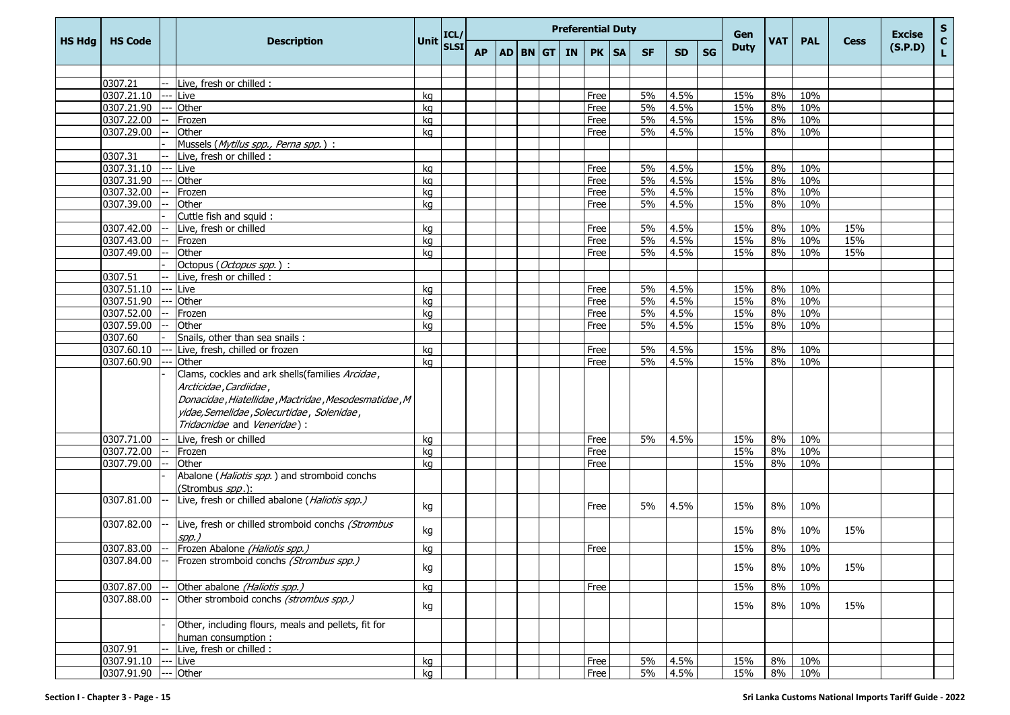|               |                          |  | <b>Description</b>                                   | <b>Unit</b> | ICL/        | <b>Preferential Duty</b> |  |          |  |           |              |           |           |              |           | Gen         | <b>VAT</b> |            |             | <b>Excise</b> | ${\sf s}$          |
|---------------|--------------------------|--|------------------------------------------------------|-------------|-------------|--------------------------|--|----------|--|-----------|--------------|-----------|-----------|--------------|-----------|-------------|------------|------------|-------------|---------------|--------------------|
| <b>HS Hdg</b> | <b>HS Code</b>           |  |                                                      |             | <b>SLSI</b> | <b>AP</b>                |  | AD BN GT |  | <b>IN</b> | <b>PK</b>    | <b>SA</b> | <b>SF</b> | <b>SD</b>    | <b>SG</b> | <b>Duty</b> |            | <b>PAL</b> | <b>Cess</b> | (S.P.D)       | $\mathbf{C}$<br>Ĺ. |
|               |                          |  |                                                      |             |             |                          |  |          |  |           |              |           |           |              |           |             |            |            |             |               |                    |
|               | 0307.21                  |  | Live, fresh or chilled :                             |             |             |                          |  |          |  |           |              |           |           |              |           |             |            |            |             |               |                    |
|               | 0307.21.10               |  | Live                                                 | kg          |             |                          |  |          |  |           | Free         |           | 5%        | 4.5%         |           | 15%         | 8%         | 10%        |             |               |                    |
|               | 0307.21.90               |  | Other                                                | kg          |             |                          |  |          |  |           | Free         |           | 5%        | 4.5%         |           | 15%         | 8%         | 10%        |             |               |                    |
|               | 0307.22.00               |  | Frozen                                               | kg          |             |                          |  |          |  |           | Free         |           | 5%        | 4.5%         |           | 15%         | 8%         | 10%        |             |               |                    |
|               | 0307.29.00               |  | Other                                                | kq          |             |                          |  |          |  |           | Free         |           | 5%        | 4.5%         |           | 15%         | 8%         | 10%        |             |               |                    |
|               |                          |  | Mussels (Mytilus spp., Perna spp.) :                 |             |             |                          |  |          |  |           |              |           |           |              |           |             |            |            |             |               |                    |
|               | 0307.31                  |  | Live, fresh or chilled :                             |             |             |                          |  |          |  |           |              |           |           |              |           |             |            |            |             |               |                    |
|               | 0307.31.10               |  | Live                                                 | kq          |             |                          |  |          |  |           | Free         |           | 5%        | 4.5%         |           | 15%         | 8%         | 10%        |             |               |                    |
|               | 0307.31.90               |  | Other                                                | kg          |             |                          |  |          |  |           | Free         |           | 5%        | 4.5%         |           | 15%         | 8%         | 10%        |             |               |                    |
|               | 0307.32.00               |  | Frozen                                               | kq          |             |                          |  |          |  |           | Free         |           | 5%        | 4.5%         |           | 15%         | 8%         | 10%        |             |               |                    |
|               | 0307.39.00               |  | Other                                                | kg          |             |                          |  |          |  |           | Free         |           | 5%        | 4.5%         |           | 15%         | 8%         | 10%        |             |               |                    |
|               |                          |  | Cuttle fish and squid:                               |             |             |                          |  |          |  |           |              |           |           |              |           |             |            |            |             |               |                    |
|               | 0307.42.00               |  | Live, fresh or chilled                               | kq          |             |                          |  |          |  |           | Free         |           | 5%        | 4.5%         |           | 15%         | 8%         | 10%        | 15%         |               |                    |
|               | 0307.43.00               |  | Frozen                                               | kg          |             |                          |  |          |  |           | Free         |           | 5%        | 4.5%         |           | 15%         | 8%         | 10%        | 15%         |               |                    |
|               | 0307.49.00               |  | Other                                                | kg          |             |                          |  |          |  |           | Free         |           | 5%        | 4.5%         |           | 15%         | 8%         | 10%        | 15%         |               |                    |
|               |                          |  | Octopus (Octopus spp.):                              |             |             |                          |  |          |  |           |              |           |           |              |           |             |            |            |             |               |                    |
|               | 0307.51                  |  | Live, fresh or chilled :                             |             |             |                          |  |          |  |           |              |           |           |              |           |             |            |            |             |               |                    |
|               | 0307.51.10               |  | Live                                                 | kg          |             |                          |  |          |  |           | Free         |           | 5%<br>5%  | 4.5%         |           | 15%         | 8%         | 10%        |             |               |                    |
|               | 0307.51.90<br>0307.52.00 |  | Other                                                | kg          |             |                          |  |          |  |           | Free<br>Free |           | 5%        | 4.5%<br>4.5% |           | 15%<br>15%  | 8%<br>8%   | 10%<br>10% |             |               |                    |
|               | 0307.59.00               |  | Frozen<br>Other                                      | kg<br>kg    |             |                          |  |          |  |           | Free         |           | 5%        | 4.5%         |           | 15%         | 8%         | 10%        |             |               |                    |
|               | 0307.60                  |  | Snails, other than sea snails:                       |             |             |                          |  |          |  |           |              |           |           |              |           |             |            |            |             |               |                    |
|               | 0307.60.10               |  | Live, fresh, chilled or frozen                       | kg          |             |                          |  |          |  |           | Free         |           | 5%        | 4.5%         |           | 15%         | 8%         | 10%        |             |               |                    |
|               | 0307.60.90               |  | Other                                                | kg          |             |                          |  |          |  |           | Free         |           | 5%        | 4.5%         |           | 15%         | 8%         | 10%        |             |               |                    |
|               |                          |  | Clams, cockles and ark shells(families Arcidae,      |             |             |                          |  |          |  |           |              |           |           |              |           |             |            |            |             |               |                    |
|               |                          |  | Arcticidae, Cardiidae,                               |             |             |                          |  |          |  |           |              |           |           |              |           |             |            |            |             |               |                    |
|               |                          |  | Donacidae, Hiatellidae, Mactridae, Mesodesmatidae, M |             |             |                          |  |          |  |           |              |           |           |              |           |             |            |            |             |               |                    |
|               |                          |  | yidae, Semelidae , Solecurtidae , Solenidae ,        |             |             |                          |  |          |  |           |              |           |           |              |           |             |            |            |             |               |                    |
|               |                          |  | Tridacnidae and Veneridae):                          |             |             |                          |  |          |  |           |              |           |           |              |           |             |            |            |             |               |                    |
|               |                          |  |                                                      |             |             |                          |  |          |  |           |              |           |           |              |           |             |            |            |             |               |                    |
|               | 0307.71.00               |  | Live, fresh or chilled                               | kg          |             |                          |  |          |  |           | Free         |           | 5%        | 4.5%         |           | 15%         | 8%         | 10%        |             |               |                    |
|               | 0307.72.00               |  | Frozen                                               | kg          |             |                          |  |          |  |           | Free         |           |           |              |           | 15%         | 8%         | 10%        |             |               |                    |
|               | 0307.79.00               |  | Other                                                | kg          |             |                          |  |          |  |           | Free         |           |           |              |           | 15%         | 8%         | 10%        |             |               |                    |
|               |                          |  | Abalone (Haliotis spp.) and stromboid conchs         |             |             |                          |  |          |  |           |              |           |           |              |           |             |            |            |             |               |                    |
|               |                          |  | (Strombus spp.):                                     |             |             |                          |  |          |  |           |              |           |           |              |           |             |            |            |             |               |                    |
|               | 0307.81.00               |  | Live, fresh or chilled abalone (Haliotis spp.)       | kg          |             |                          |  |          |  |           | Free         |           | 5%        | 4.5%         |           | 15%         | 8%         | 10%        |             |               |                    |
|               |                          |  |                                                      |             |             |                          |  |          |  |           |              |           |           |              |           |             |            |            |             |               |                    |
|               | 0307.82.00               |  | Live, fresh or chilled stromboid conchs (Strombus    | kg          |             |                          |  |          |  |           |              |           |           |              |           | 15%         | 8%         | 10%        | 15%         |               |                    |
|               |                          |  | spp.)<br>Frozen Abalone (Haliotis spp.)              |             |             |                          |  |          |  |           |              |           |           |              |           |             |            |            |             |               |                    |
|               | 0307.83.00<br>0307.84.00 |  | Frozen stromboid conchs (Strombus spp.)              | kg          |             |                          |  |          |  |           | Free         |           |           |              |           | 15%         | 8%         | 10%        |             |               |                    |
|               |                          |  |                                                      | kg          |             |                          |  |          |  |           |              |           |           |              |           | 15%         | 8%         | 10%        | 15%         |               |                    |
|               |                          |  |                                                      |             |             |                          |  |          |  |           |              |           |           |              |           |             |            |            |             |               |                    |
|               | 0307.87.00               |  | Other abalone (Haliotis spp.)                        | kg          |             |                          |  |          |  |           | Free         |           |           |              |           | 15%         | 8%         | 10%        |             |               |                    |
|               | 0307.88.00               |  | Other stromboid conchs (strombus spp.)               | kg          |             |                          |  |          |  |           |              |           |           |              |           | 15%         | 8%         | 10%        | 15%         |               |                    |
|               |                          |  |                                                      |             |             |                          |  |          |  |           |              |           |           |              |           |             |            |            |             |               |                    |
|               |                          |  | Other, including flours, meals and pellets, fit for  |             |             |                          |  |          |  |           |              |           |           |              |           |             |            |            |             |               |                    |
|               |                          |  | human consumption:                                   |             |             |                          |  |          |  |           |              |           |           |              |           |             |            |            |             |               |                    |
|               | 0307.91                  |  | Live, fresh or chilled :                             |             |             |                          |  |          |  |           |              |           |           |              |           |             |            |            |             |               |                    |
|               | 0307.91.10               |  | Live                                                 | kg          |             |                          |  |          |  |           | Free         |           | 5%        | 4.5%         |           | 15%         | 8%         | 10%        |             |               |                    |
|               | 0307.91.90               |  | Other                                                | kg          |             |                          |  |          |  |           | Free         |           | 5%        | 4.5%         |           | 15%         | 8%         | 10%        |             |               |                    |